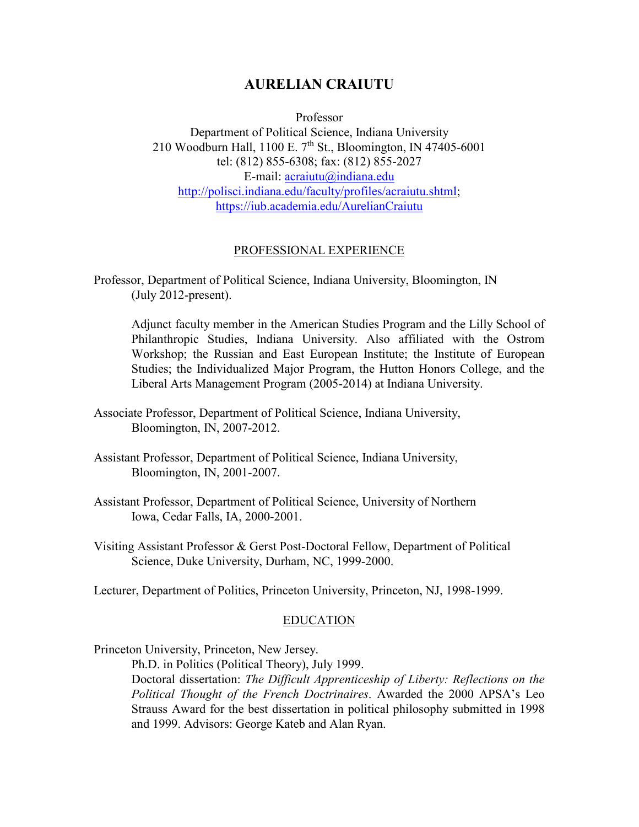# **AURELIAN CRAIUTU**

Professor

Department of Political Science, Indiana University 210 Woodburn Hall, 1100 E. 7<sup>th</sup> St., Bloomington, IN 47405-6001 tel: (812) 855-6308; fax: (812) 855-2027 E-mail: [acraiutu@indiana.edu](mailto:acraiutu@indiana.edu) [http://polisci.indiana.edu/faculty/profiles/acraiutu.shtml;](http://polisci.indiana.edu/faculty/profiles/acraiutu.shtml) <https://iub.academia.edu/AurelianCraiutu>

#### PROFESSIONAL EXPERIENCE

Adjunct faculty member in the American Studies Program and the Lilly School of Philanthropic Studies, Indiana University. Also affiliated with the Ostrom Workshop; the Russian and East European Institute; the Institute of European Studies; the Individualized Major Program, the Hutton Honors College, and the Liberal Arts Management Program (2005-2014) at Indiana University.

- Associate Professor, Department of Political Science, Indiana University, Bloomington, IN, 2007-2012.
- Assistant Professor, Department of Political Science, Indiana University, Bloomington, IN, 2001-2007.
- Assistant Professor, Department of Political Science, University of Northern Iowa, Cedar Falls, IA, 2000-2001.
- Visiting Assistant Professor & Gerst Post-Doctoral Fellow, Department of Political Science, Duke University, Durham, NC, 1999-2000.

Lecturer, Department of Politics, Princeton University, Princeton, NJ, 1998-1999.

#### EDUCATION

Princeton University, Princeton, New Jersey.

Ph.D. in Politics (Political Theory), July 1999.

Doctoral dissertation: *The Difficult Apprenticeship of Liberty: Reflections on the Political Thought of the French Doctrinaires*. Awarded the 2000 APSA's Leo Strauss Award for the best dissertation in political philosophy submitted in 1998 and 1999. Advisors: George Kateb and Alan Ryan.

Professor, Department of Political Science, Indiana University, Bloomington, IN (July 2012-present).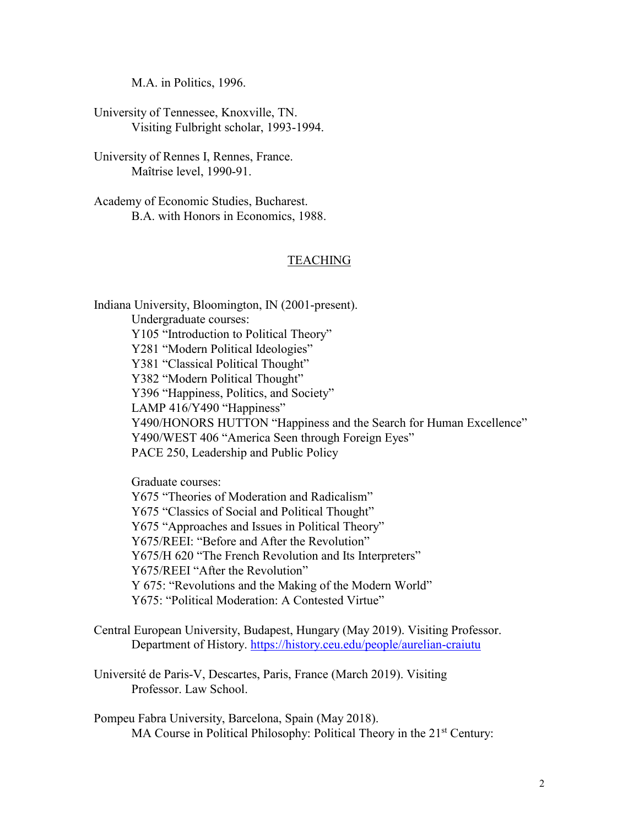M.A. in Politics, 1996.

University of Tennessee, Knoxville, TN. Visiting Fulbright scholar, 1993-1994.

University of Rennes I, Rennes, France. Maîtrise level, 1990-91.

Academy of Economic Studies, Bucharest. B.A. with Honors in Economics, 1988.

#### TEACHING

Indiana University, Bloomington, IN (2001-present). Undergraduate courses: Y105 "Introduction to Political Theory" Y281 "Modern Political Ideologies" Y381 "Classical Political Thought" Y382 "Modern Political Thought" Y396 "Happiness, Politics, and Society" LAMP 416/Y490 "Happiness" Y490/HONORS HUTTON "Happiness and the Search for Human Excellence" Y490/WEST 406 "America Seen through Foreign Eyes" PACE 250, Leadership and Public Policy

Graduate courses:

Y675 "Theories of Moderation and Radicalism" Y675 "Classics of Social and Political Thought" Y675 "Approaches and Issues in Political Theory" Y675/REEI: "Before and After the Revolution" Y675/H 620 "The French Revolution and Its Interpreters" Y675/REEI "After the Revolution" Y 675: "Revolutions and the Making of the Modern World" Y675: "Political Moderation: A Contested Virtue"

Central European University, Budapest, Hungary (May 2019). Visiting Professor. Department of History.<https://history.ceu.edu/people/aurelian-craiutu>

Université de Paris-V, Descartes, Paris, France (March 2019). Visiting Professor. Law School.

Pompeu Fabra University, Barcelona, Spain (May 2018). MA Course in Political Philosophy: Political Theory in the 21<sup>st</sup> Century: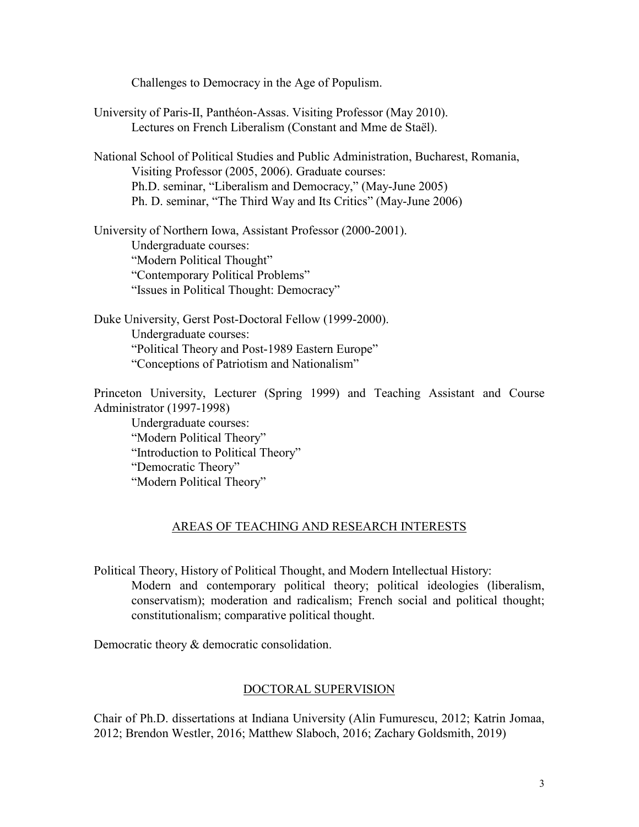Challenges to Democracy in the Age of Populism.

University of Paris-II, Panthéon-Assas. Visiting Professor (May 2010). Lectures on French Liberalism (Constant and Mme de Staël).

National School of Political Studies and Public Administration, Bucharest, Romania, Visiting Professor (2005, 2006). Graduate courses: Ph.D. seminar, "Liberalism and Democracy," (May-June 2005) Ph. D. seminar, "The Third Way and Its Critics" (May-June 2006)

University of Northern Iowa, Assistant Professor (2000-2001). Undergraduate courses: "Modern Political Thought" "Contemporary Political Problems" "Issues in Political Thought: Democracy"

Duke University, Gerst Post-Doctoral Fellow (1999-2000). Undergraduate courses: "Political Theory and Post-1989 Eastern Europe" "Conceptions of Patriotism and Nationalism"

Princeton University, Lecturer (Spring 1999) and Teaching Assistant and Course Administrator (1997-1998)

Undergraduate courses: "Modern Political Theory" "Introduction to Political Theory" "Democratic Theory" "Modern Political Theory"

# AREAS OF TEACHING AND RESEARCH INTERESTS

Political Theory, History of Political Thought, and Modern Intellectual History: Modern and contemporary political theory; political ideologies (liberalism, conservatism); moderation and radicalism; French social and political thought; constitutionalism; comparative political thought.

Democratic theory & democratic consolidation.

#### DOCTORAL SUPERVISION

Chair of Ph.D. dissertations at Indiana University (Alin Fumurescu, 2012; Katrin Jomaa, 2012; Brendon Westler, 2016; Matthew Slaboch, 2016; Zachary Goldsmith, 2019)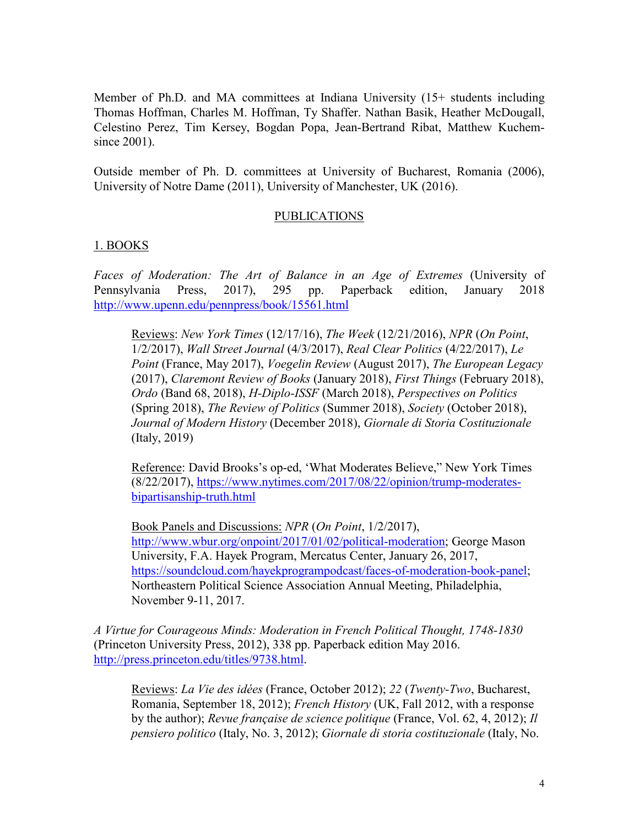Member of Ph.D. and MA committees at Indiana University (15+ students including Thomas Hoffman, Charles M. Hoffman, Ty Shaffer. Nathan Basik, Heather McDougall, Celestino Perez, Tim Kersey, Bogdan Popa, Jean-Bertrand Ribat, Matthew Kuchemsince 2001).

Outside member of Ph. D. committees at University of Bucharest, Romania (2006), University of Notre Dame (2011), University of Manchester, UK (2016).

### PUBLICATIONS

### 1. BOOKS

*Faces of Moderation: The Art of Balance in an Age of Extremes* (University of Pennsylvania Press, 2017), 295 pp. Paperback edition, January 2018 <http://www.upenn.edu/pennpress/book/15561.html>

Reviews: *New York Times* (12/17/16), *The Week* (12/21/2016), *NPR* (*On Point*, 1/2/2017), *Wall Street Journal* (4/3/2017), *Real Clear Politics* (4/22/2017), *Le Point* (France, May 2017), *Voegelin Review* (August 2017), *The European Legacy* (2017), *Claremont Review of Books* (January 2018), *First Things* (February 2018), *Ordo* (Band 68, 2018), *H-Diplo-ISSF* (March 2018), *Perspectives on Politics* (Spring 2018), *The Review of Politics* (Summer 2018), *Society* (October 2018), *Journal of Modern History* (December 2018), *Giornale di Storia Costituzionale* (Italy, 2019)

Reference: David Brooks's op-ed, 'What Moderates Believe," New York Times (8/22/2017), [https://www.nytimes.com/2017/08/22/opinion/trump-moderates](https://www.nytimes.com/2017/08/22/opinion/trump-moderates-bipartisanship-truth.html)[bipartisanship-truth.html](https://www.nytimes.com/2017/08/22/opinion/trump-moderates-bipartisanship-truth.html)

Book Panels and Discussions: *NPR* (*On Point*, 1/2/2017), [http://www.wbur.org/onpoint/2017/01/02/political-moderation;](http://www.wbur.org/onpoint/2017/01/02/political-moderation) George Mason University, F.A. Hayek Program, Mercatus Center, January 26, 2017, [https://soundcloud.com/hayekprogrampodcast/faces-of-moderation-book-panel;](https://soundcloud.com/hayekprogrampodcast/faces-of-moderation-book-panel) Northeastern Political Science Association Annual Meeting, Philadelphia, November 9-11, 2017.

*A Virtue for Courageous Minds: Moderation in French Political Thought, 1748-1830* (Princeton University Press, 2012), 338 pp. Paperback edition May 2016. [http://press.princeton.edu/titles/9738.html.](http://press.princeton.edu/titles/9738.html)

Reviews: *La Vie des idées* (France, October 2012); *22* (*Twenty-Two*, Bucharest, Romania, September 18, 2012); *French History* (UK, Fall 2012, with a response by the author); *Revue française de science politique* (France, Vol. 62, 4, 2012); *Il pensiero politico* (Italy, No. 3, 2012); *Giornale di storia costituzionale* (Italy, No.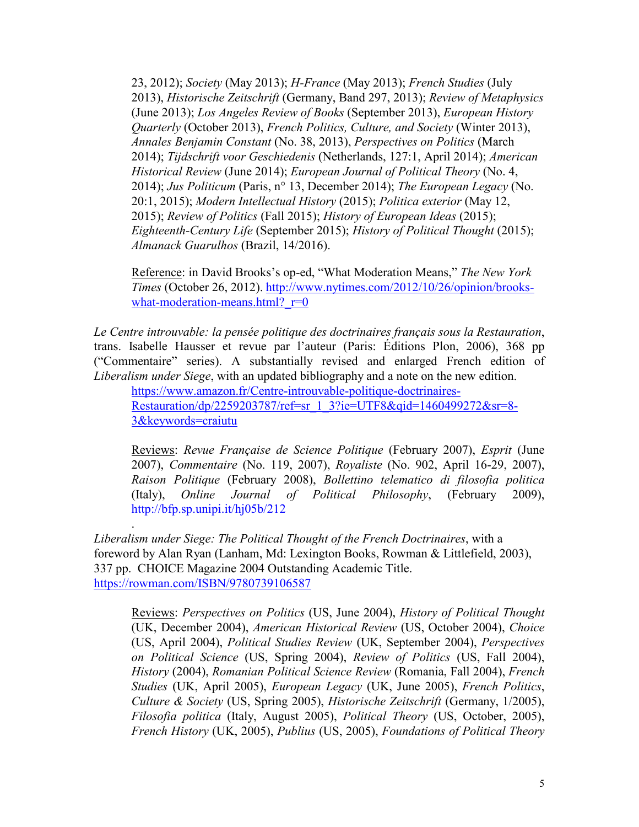23, 2012); *Society* (May 2013); *H-France* (May 2013); *French Studies* (July 2013), *Historische Zeitschrift* (Germany, Band 297, 2013); *Review of Metaphysics* (June 2013); *Los Angeles Review of Books* (September 2013), *European History Quarterly* (October 2013), *French Politics, Culture, and Society* (Winter 2013), *Annales Benjamin Constant* (No. 38, 2013), *Perspectives on Politics* (March 2014); *[Tijdschrift voor Geschiedenis](http://www.ingentaconnect.com/content/aup/tg;jsessionid=a7sdj4bu18ckb.alice)* (Netherlands, 127:1, April 2014); *American Historical Review* (June 2014); *European Journal of Political Theory* (No. 4, 2014); *Jus Politicum* (Paris, n° 13, December 2014); *The European Legacy* (No. 20:1, 2015); *Modern Intellectual History* (2015); *Politica exterior* (May 12, 2015); *Review of Politics* (Fall 2015); *History of European Ideas* (2015); *Eighteenth-Century Life* (September 2015); *History of Political Thought* (2015); *Almanack Guarulhos* (Brazil, 14/2016).

Reference: in David Brooks's op-ed, "What Moderation Means," *The New York Times* (October 26, 2012). [http://www.nytimes.com/2012/10/26/opinion/brooks](http://www.nytimes.com/2012/10/26/opinion/brooks-what-moderation-means.html?_r=0)what-moderation-means.html?  $r=0$ 

*Le Centre introuvable: la pensée politique des doctrinaires français sous la Restauration*, trans. Isabelle Hausser et revue par l'auteur (Paris: Éditions Plon, 2006), 368 pp ("Commentaire" series). A substantially revised and enlarged French edition of *Liberalism under Siege*, with an updated bibliography and a note on the new edition.

[https://www.amazon.fr/Centre-introuvable-politique-doctrinaires-](https://www.amazon.fr/Centre-introuvable-politique-doctrinaires-Restauration/dp/2259203787/ref=sr_1_3?ie=UTF8&qid=1460499272&sr=8-3&keywords=craiutu)[Restauration/dp/2259203787/ref=sr\\_1\\_3?ie=UTF8&qid=1460499272&sr=8-](https://www.amazon.fr/Centre-introuvable-politique-doctrinaires-Restauration/dp/2259203787/ref=sr_1_3?ie=UTF8&qid=1460499272&sr=8-3&keywords=craiutu) [3&keywords=craiutu](https://www.amazon.fr/Centre-introuvable-politique-doctrinaires-Restauration/dp/2259203787/ref=sr_1_3?ie=UTF8&qid=1460499272&sr=8-3&keywords=craiutu)

Reviews: *Revue Française de Science Politique* (February 2007), *Esprit* (June 2007), *Commentaire* (No. 119, 2007), *Royaliste* (No. 902, April 16-29, 2007), *Raison Politique* (February 2008), *Bollettino telematico di filosofia politica* (Italy), *Online Journal of Political Philosophy*, (February 2009), <http://bfp.sp.unipi.it/hj05b/212>

*Liberalism under Siege: The Political Thought of the French Doctrinaires*, with a foreword by Alan Ryan (Lanham, Md: Lexington Books, Rowman & Littlefield, 2003), 337 pp. CHOICE Magazine 2004 Outstanding Academic Title. <https://rowman.com/ISBN/9780739106587>

.

Reviews: *Perspectives on Politics* (US, June 2004), *History of Political Thought* (UK, December 2004), *American Historical Review* (US, October 2004), *Choice* (US, April 2004), *Political Studies Review* (UK, September 2004), *Perspectives on Political Science* (US, Spring 2004), *Review of Politics* (US, Fall 2004), *History* (2004), *Romanian Political Science Review* (Romania, Fall 2004), *French Studies* (UK, April 2005), *European Legacy* (UK, June 2005), *French Politics*, *Culture & Society* (US, Spring 2005), *Historische Zeitschrift* (Germany, 1/2005), *Filosofia politica* (Italy, August 2005), *Political Theory* (US, October, 2005), *French History* (UK, 2005), *Publius* (US, 2005), *Foundations of Political Theory*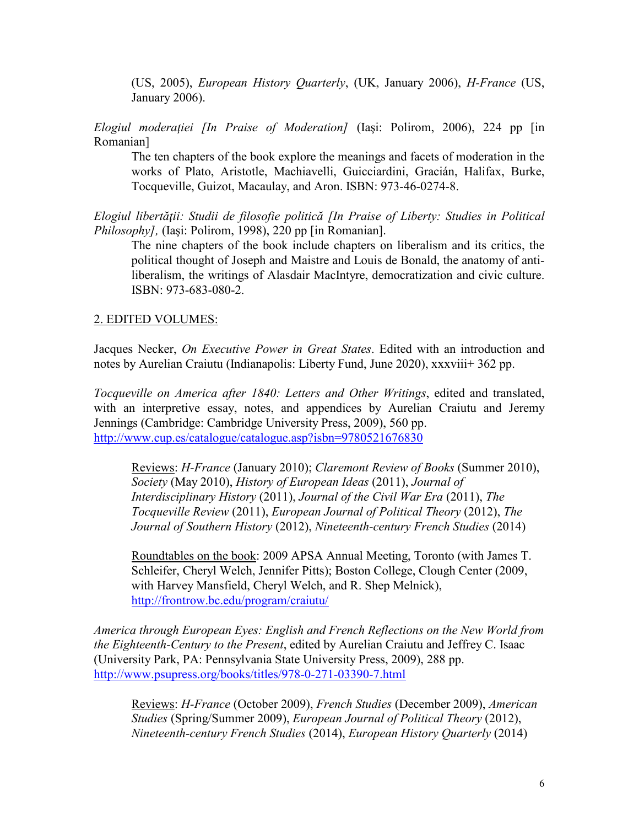(US, 2005), *European History Quarterly*, (UK, January 2006), *H-France* (US, January 2006).

*Elogiul moderaţiei [In Praise of Moderation]* (Iaşi: Polirom, 2006), 224 pp [in Romanian]

The ten chapters of the book explore the meanings and facets of moderation in the works of Plato, Aristotle, Machiavelli, Guicciardini, Gracián, Halifax, Burke, Tocqueville, Guizot, Macaulay, and Aron. ISBN: 973-46-0274-8.

*Elogiul libertăţii: Studii de filosofie politică [In Praise of Liberty: Studies in Political Philosophy],* (Iaşi: Polirom, 1998), 220 pp [in Romanian].

The nine chapters of the book include chapters on liberalism and its critics, the political thought of Joseph and Maistre and Louis de Bonald, the anatomy of antiliberalism, the writings of Alasdair MacIntyre, democratization and civic culture. ISBN: 973-683-080-2.

#### 2. EDITED VOLUMES:

Jacques Necker, *On Executive Power in Great States*. Edited with an introduction and notes by Aurelian Craiutu (Indianapolis: Liberty Fund, June 2020), xxxviii+ 362 pp.

*Tocqueville on America after 1840: Letters and Other Writings*, edited and translated, with an interpretive essay, notes, and appendices by Aurelian Craiutu and Jeremy Jennings (Cambridge: Cambridge University Press, 2009), 560 pp. <http://www.cup.es/catalogue/catalogue.asp?isbn=9780521676830>

Reviews: *H-France* (January 2010); *Claremont Review of Books* (Summer 2010), *Society* (May 2010), *History of European Ideas* (2011), *Journal of Interdisciplinary History* (2011), *Journal of the Civil War Era* (2011), *The Tocqueville Review* (2011), *European Journal of Political Theory* (2012), *The Journal of Southern History* (2012), *Nineteenth-century French Studies* (2014)

Roundtables on the book: 2009 APSA Annual Meeting, Toronto (with James T. Schleifer, Cheryl Welch, Jennifer Pitts); Boston College, Clough Center (2009, with Harvey Mansfield, Cheryl Welch, and R. Shep Melnick), <http://frontrow.bc.edu/program/craiutu/>

*America through European Eyes: English and French Reflections on the New World from the Eighteenth-Century to the Present*, edited by Aurelian Craiutu and Jeffrey C. Isaac (University Park, PA: Pennsylvania State University Press, 2009), 288 pp. <http://www.psupress.org/books/titles/978-0-271-03390-7.html>

Reviews: *H-France* (October 2009), *French Studies* (December 2009), *American Studies* (Spring/Summer 2009), *European Journal of Political Theory* (2012), *Nineteenth-century French Studies* (2014), *European History Quarterly* (2014)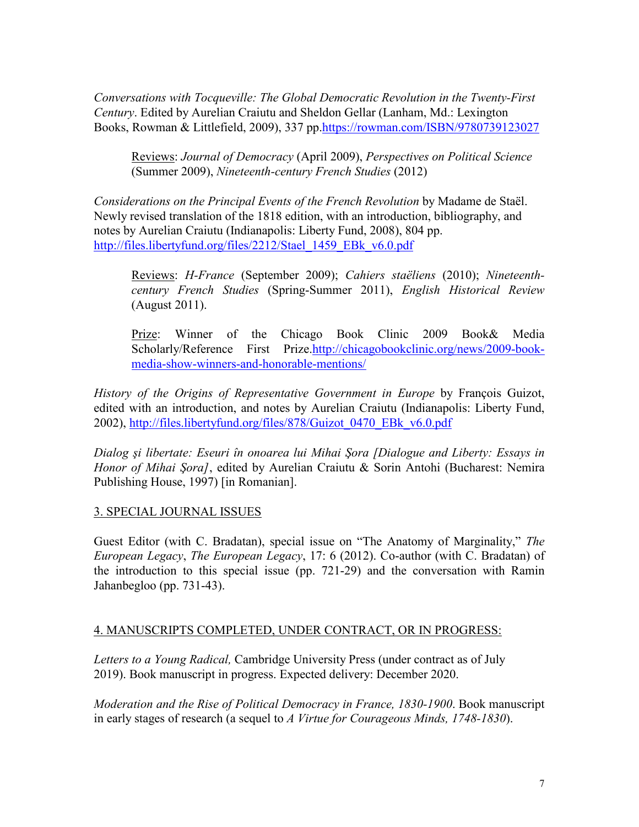*Conversations with Tocqueville: The Global Democratic Revolution in the Twenty-First Century*. Edited by Aurelian Craiutu and Sheldon Gellar (Lanham, Md.: Lexington Books, Rowman & Littlefield, 2009), 337 pp[.https://rowman.com/ISBN/9780739123027](https://rowman.com/ISBN/9780739123027)

Reviews: *Journal of Democracy* (April 2009), *Perspectives on Political Science* (Summer 2009), *Nineteenth-century French Studies* (2012)

*Considerations on the Principal Events of the French Revolution* by Madame de Staël. Newly revised translation of the 1818 edition, with an introduction, bibliography, and notes by Aurelian Craiutu (Indianapolis: Liberty Fund, 2008), 804 pp. [http://files.libertyfund.org/files/2212/Stael\\_1459\\_EBk\\_v6.0.pdf](http://files.libertyfund.org/files/2212/Stael_1459_EBk_v6.0.pdf)

Reviews: *H-France* (September 2009); *Cahiers staëliens* (2010); *Nineteenthcentury French Studies* (Spring-Summer 2011), *English Historical Review* (August 2011).

Prize: Winner of the Chicago Book Clinic 2009 Book& Media Scholarly/Reference First Prize[.http://chicagobookclinic.org/news/2009-book](http://chicagobookclinic.org/news/2009-book-media-show-winners-and-honorable-mentions/)[media-show-winners-and-honorable-mentions/](http://chicagobookclinic.org/news/2009-book-media-show-winners-and-honorable-mentions/)

*History of the Origins of Representative Government in Europe* by François Guizot, edited with an introduction, and notes by Aurelian Craiutu (Indianapolis: Liberty Fund, 2002), [http://files.libertyfund.org/files/878/Guizot\\_0470\\_EBk\\_v6.0.pdf](http://files.libertyfund.org/files/878/Guizot_0470_EBk_v6.0.pdf)

*Dialog şi libertate: Eseuri în onoarea lui Mihai Şora [Dialogue and Liberty: Essays in Honor of Mihai Şora]*, edited by Aurelian Craiutu & Sorin Antohi (Bucharest: Nemira Publishing House, 1997) [in Romanian].

### 3. SPECIAL JOURNAL ISSUES

Guest Editor (with C. Bradatan), special issue on "The Anatomy of Marginality," *The European Legacy*, *The European Legacy*, 17: 6 (2012). Co-author (with C. Bradatan) of the introduction to this special issue (pp. 721-29) and the conversation with Ramin Jahanbegloo (pp. 731-43).

#### 4. MANUSCRIPTS COMPLETED, UNDER CONTRACT, OR IN PROGRESS:

*Letters to a Young Radical,* Cambridge University Press (under contract as of July 2019). Book manuscript in progress. Expected delivery: December 2020.

*Moderation and the Rise of Political Democracy in France, 1830-1900*. Book manuscript in early stages of research (a sequel to *A Virtue for Courageous Minds, 1748-1830*).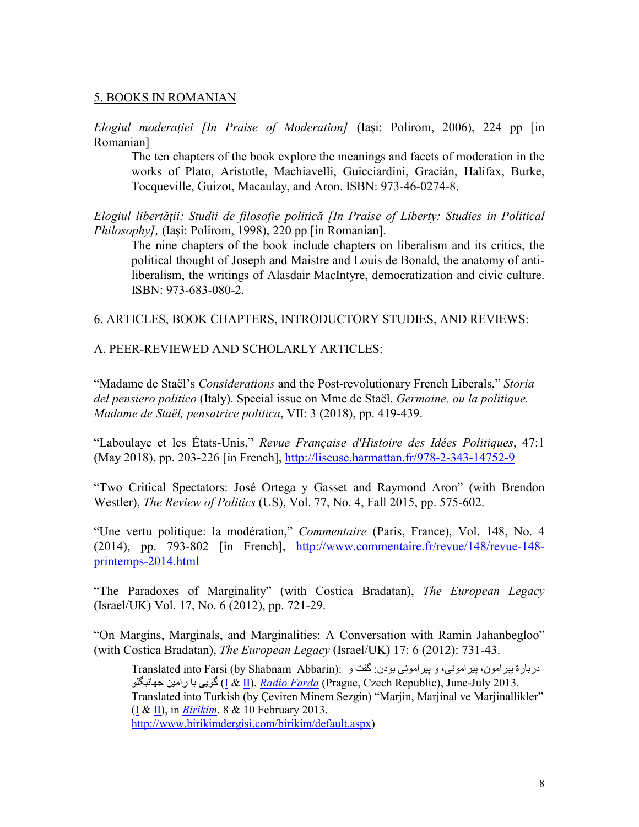#### 5. BOOKS IN ROMANIAN

*Elogiul moderaţiei [In Praise of Moderation]* (Iaşi: Polirom, 2006), 224 pp [in Romanian]

The ten chapters of the book explore the meanings and facets of moderation in the works of Plato, Aristotle, Machiavelli, Guicciardini, Gracián, Halifax, Burke, Tocqueville, Guizot, Macaulay, and Aron. ISBN: 973-46-0274-8.

*Elogiul libertăţii: Studii de filosofie politică [In Praise of Liberty: Studies in Political Philosophy],* (Iaşi: Polirom, 1998), 220 pp [in Romanian].

The nine chapters of the book include chapters on liberalism and its critics, the political thought of Joseph and Maistre and Louis de Bonald, the anatomy of antiliberalism, the writings of Alasdair MacIntyre, democratization and civic culture. ISBN: 973-683-080-2.

#### 6. ARTICLES, BOOK CHAPTERS, INTRODUCTORY STUDIES, AND REVIEWS:

#### A. PEER-REVIEWED AND SCHOLARLY ARTICLES:

"Madame de Staël's *Considerations* and the Post-revolutionary French Liberals," *Storia del pensiero politico* (Italy). Special issue on Mme de Staël, *Germaine, ou la politique. Madame de Staël, pensatrice politica*, VII: 3 (2018), pp. 419-439.

"Laboulaye et les États-Unis," *Revue Française d'Histoire des Idées Politiques*, 47:1 (May 2018), pp. 203-226 [in French],<http://liseuse.harmattan.fr/978-2-343-14752-9>

"Two Critical Spectators: José Ortega y Gasset and Raymond Aron" (with Brendon Westler), *The Review of Politics* (US), Vol. 77, No. 4, Fall 2015, pp. 575-602.

"Une vertu politique: la modération," *Commentaire* (Paris, France), Vol. 148, No. 4 (2014), pp. 793-802 [in French], [http://www.commentaire.fr/revue/148/revue-148](http://www.commentaire.fr/revue/148/revue-148-printemps-2014.html) [printemps-2014.html](http://www.commentaire.fr/revue/148/revue-148-printemps-2014.html)

"The Paradoxes of Marginality" (with Costica Bradatan), *The European Legacy* (Israel/UK) Vol. 17, No. 6 (2012), pp. 721-29.

"On Margins, Marginals, and Marginalities: A Conversation with Ramin Jahanbegloo" (with Costica Bradatan), *The European Legacy* (Israel/UK) 17: 6 (2012): 731-43.

دربارة بیرامون، پیرامونی، و پیرامونی بودن: گفت و :(Translated into Farsi (by Shabnam Abbarin جھانبگلو رامین با گویی) [I](http://www.radiofarda.com/content/f3_jahanbegloo_marginalization/25025043.html) & [II\)](http://www.radiofarda.com/content/f3_jahanbegloo_interview_liberty/25033890.html), *[Radio Farda](http://www.radiofarda.com/)* (Prague, Czech Republic), June-July 2013. Translated into Turkish (by Çeviren Minem Sezgin) "Marjin, Marjinal ve Marjinallikler" [\(I](http://www.birikimdergisi.com/birikim/makale.aspx?mid=914) & [II\)](http://www.birikimdergisi.com/birikim/makale.aspx?mid=915), in *[Birikim](http://www.birikimdergisi.com/)*, 8 & 10 February 2013, [http://www.birikimdergisi.com/birikim/default.aspx\)](http://www.birikimdergisi.com/birikim/default.aspx)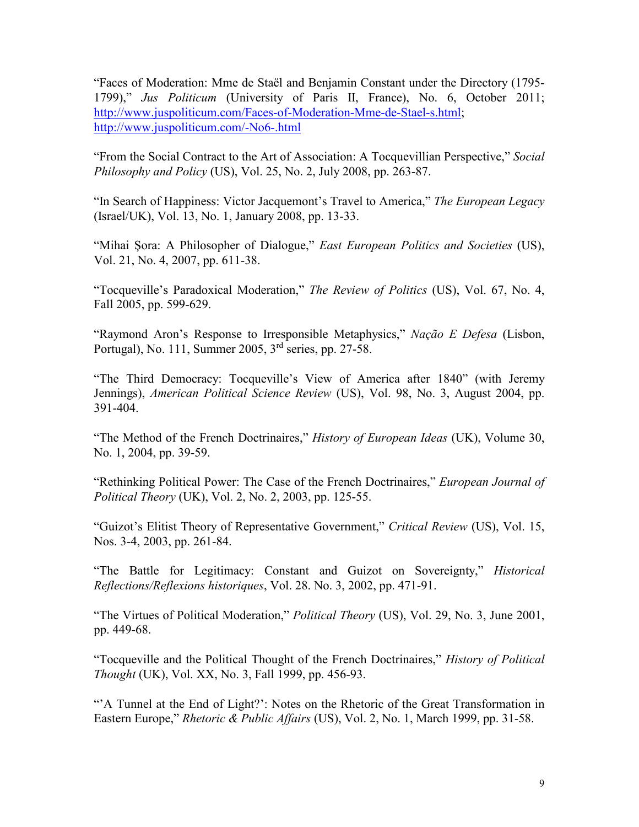"Faces of Moderation: Mme de Staël and Benjamin Constant under the Directory (1795- 1799)," *Jus Politicum* (University of Paris II, France), No. 6, October 2011; [http://www.juspoliticum.com/Faces-of-Moderation-Mme-de-Stael-s.html;](http://www.juspoliticum.com/Faces-of-Moderation-Mme-de-Stael-s.html) <http://www.juspoliticum.com/-No6-.html>

"From the Social Contract to the Art of Association: A Tocquevillian Perspective," *Social Philosophy and Policy* (US), Vol. 25, No. 2, July 2008, pp. 263-87.

"In Search of Happiness: Victor Jacquemont's Travel to America," *The European Legacy* (Israel/UK), Vol. 13, No. 1, January 2008, pp. 13-33.

"Mihai Şora: A Philosopher of Dialogue," *East European Politics and Societies* (US), Vol. 21, No. 4, 2007, pp. 611-38.

"Tocqueville's Paradoxical Moderation," *The Review of Politics* (US), Vol. 67, No. 4, Fall 2005, pp. 599-629.

"Raymond Aron's Response to Irresponsible Metaphysics," *Nação E Defesa* (Lisbon, Portugal), No. 111, Summer 2005, 3rd series, pp. 27-58.

"The Third Democracy: Tocqueville's View of America after 1840" (with Jeremy Jennings), *American Political Science Review* (US), Vol. 98, No. 3, August 2004, pp. 391-404.

"The Method of the French Doctrinaires," *History of European Ideas* (UK), Volume 30, No. 1, 2004, pp. 39-59.

"Rethinking Political Power: The Case of the French Doctrinaires," *European Journal of Political Theory* (UK), Vol. 2, No. 2, 2003, pp. 125-55.

"Guizot's Elitist Theory of Representative Government," *Critical Review* (US), Vol. 15, Nos. 3-4, 2003, pp. 261-84.

"The Battle for Legitimacy: Constant and Guizot on Sovereignty," *Historical Reflections/Reflexions historiques*, Vol. 28. No. 3, 2002, pp. 471-91.

"The Virtues of Political Moderation," *Political Theory* (US), Vol. 29, No. 3, June 2001, pp. 449-68.

"Tocqueville and the Political Thought of the French Doctrinaires," *History of Political Thought* (UK), Vol. XX, No. 3, Fall 1999, pp. 456-93.

"'A Tunnel at the End of Light?': Notes on the Rhetoric of the Great Transformation in Eastern Europe," *Rhetoric & Public Affairs* (US), Vol. 2, No. 1, March 1999, pp. 31-58.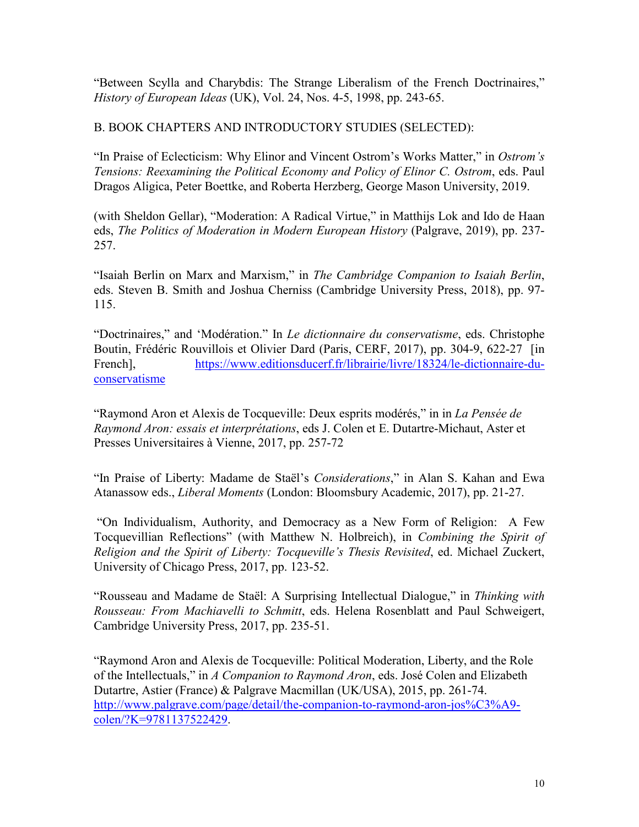"Between Scylla and Charybdis: The Strange Liberalism of the French Doctrinaires," *History of European Ideas* (UK), Vol. 24, Nos. 4-5, 1998, pp. 243-65.

B. BOOK CHAPTERS AND INTRODUCTORY STUDIES (SELECTED):

"In Praise of Eclecticism: Why Elinor and Vincent Ostrom's Works Matter," in *Ostrom's Tensions: Reexamining the Political Economy and Policy of Elinor C. Ostrom*, eds. Paul Dragos Aligica, Peter Boettke, and Roberta Herzberg, George Mason University, 2019.

(with Sheldon Gellar), "Moderation: A Radical Virtue," in Matthijs Lok and Ido de Haan eds, *The Politics of Moderation in Modern European History* (Palgrave, 2019), pp. 237- 257.

"Isaiah Berlin on Marx and Marxism," in *The Cambridge Companion to Isaiah Berlin*, eds. Steven B. Smith and Joshua Cherniss (Cambridge University Press, 2018), pp. 97- 115.

"Doctrinaires," and 'Modération." In *Le dictionnaire du conservatisme*, eds. Christophe Boutin, Frédéric Rouvillois et Olivier Dard (Paris, CERF, 2017), pp. 304-9, 622-27 [in French], [https://www.editionsducerf.fr/librairie/livre/18324/le-dictionnaire-du](https://www.editionsducerf.fr/librairie/livre/18324/le-dictionnaire-du-conservatisme)[conservatisme](https://www.editionsducerf.fr/librairie/livre/18324/le-dictionnaire-du-conservatisme)

"Raymond Aron et Alexis de Tocqueville: Deux esprits modérés," in in *La Pensée de Raymond Aron: essais et interprétations*, eds J. Colen et E. Dutartre-Michaut, Aster et Presses Universitaires à Vienne, 2017, pp. 257-72

"In Praise of Liberty: Madame de Staël's *Considerations*," in Alan S. Kahan and Ewa Atanassow eds., *Liberal Moments* (London: Bloomsbury Academic, 2017), pp. 21-27.

"On Individualism, Authority, and Democracy as a New Form of Religion: A Few Tocquevillian Reflections" (with Matthew N. Holbreich), in *Combining the Spirit of Religion and the Spirit of Liberty: Tocqueville's Thesis Revisited*, ed. Michael Zuckert, University of Chicago Press, 2017, pp. 123-52.

"Rousseau and Madame de Staël: A Surprising Intellectual Dialogue," in *Thinking with Rousseau: From Machiavelli to Schmitt*, eds. Helena Rosenblatt and Paul Schweigert, Cambridge University Press, 2017, pp. 235-51.

"Raymond Aron and Alexis de Tocqueville: Political Moderation, Liberty, and the Role of the Intellectuals," in *A Companion to Raymond Aron*, eds. José Colen and Elizabeth Dutartre, Astier (France) & Palgrave Macmillan (UK/USA), 2015, pp. 261-74. [http://www.palgrave.com/page/detail/the-companion-to-raymond-aron-jos%C3%A9](http://www.palgrave.com/page/detail/the-companion-to-raymond-aron-jos%C3%A9-colen/?K=9781137522429) [colen/?K=9781137522429.](http://www.palgrave.com/page/detail/the-companion-to-raymond-aron-jos%C3%A9-colen/?K=9781137522429)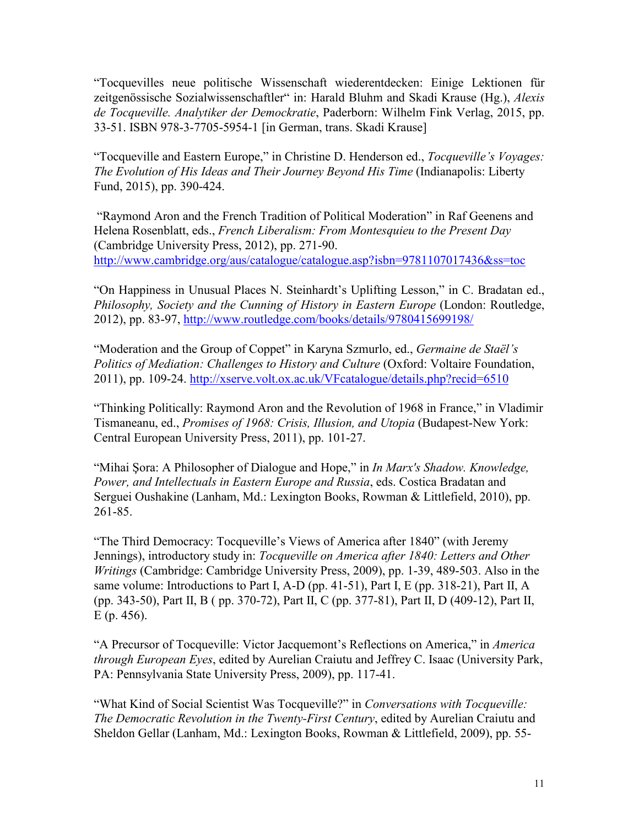"Tocquevilles neue politische Wissenschaft wiederentdecken: Einige Lektionen für zeitgenössische Sozialwissenschaftler" in: Harald Bluhm and Skadi Krause (Hg.), *Alexis de Tocqueville. Analytiker der Demockratie*, Paderborn: Wilhelm Fink Verlag, 2015, pp. 33-51. ISBN 978-3-7705-5954-1 [in German, trans. Skadi Krause]

"Tocqueville and Eastern Europe," in Christine D. Henderson ed., *Tocqueville's Voyages: The Evolution of His Ideas and Their Journey Beyond His Time* (Indianapolis: Liberty Fund, 2015), pp. 390-424.

"Raymond Aron and the French Tradition of Political Moderation" in Raf Geenens and Helena Rosenblatt, eds., *French Liberalism: From Montesquieu to the Present Day* (Cambridge University Press, 2012), pp. 271-90. <http://www.cambridge.org/aus/catalogue/catalogue.asp?isbn=9781107017436&ss=toc>

"On Happiness in Unusual Places N. Steinhardt's Uplifting Lesson," in C. Bradatan ed., *Philosophy, Society and the Cunning of History in Eastern Europe* (London: Routledge, 2012), pp. 83-97,<http://www.routledge.com/books/details/9780415699198/>

"Moderation and the Group of Coppet" in Karyna Szmurlo, ed., *Germaine de Staël's Politics of Mediation: Challenges to History and Culture* (Oxford: Voltaire Foundation, 2011), pp. 109-24. <http://xserve.volt.ox.ac.uk/VFcatalogue/details.php?recid=6510>

"Thinking Politically: Raymond Aron and the Revolution of 1968 in France," in Vladimir Tismaneanu, ed., *Promises of 1968: Crisis, Illusion, and Utopia* (Budapest-New York: Central European University Press, 2011), pp. 101-27.

"Mihai Şora: A Philosopher of Dialogue and Hope," in *In Marx's Shadow. Knowledge, Power, and Intellectuals in Eastern Europe and Russia*, eds. Costica Bradatan and Serguei Oushakine (Lanham, Md.: Lexington Books, Rowman & Littlefield, 2010), pp. 261-85.

"The Third Democracy: Tocqueville's Views of America after 1840" (with Jeremy Jennings), introductory study in: *Tocqueville on America after 1840: Letters and Other Writings* (Cambridge: Cambridge University Press, 2009), pp. 1-39, 489-503. Also in the same volume: Introductions to Part I, A-D (pp. 41-51), Part I, E (pp. 318-21), Part II, A (pp. 343-50), Part II, B ( pp. 370-72), Part II, C (pp. 377-81), Part II, D (409-12), Part II, E (p. 456).

"A Precursor of Tocqueville: Victor Jacquemont's Reflections on America," in *America through European Eyes*, edited by Aurelian Craiutu and Jeffrey C. Isaac (University Park, PA: Pennsylvania State University Press, 2009), pp. 117-41.

"What Kind of Social Scientist Was Tocqueville?" in *Conversations with Tocqueville: The Democratic Revolution in the Twenty-First Century*, edited by Aurelian Craiutu and Sheldon Gellar (Lanham, Md.: Lexington Books, Rowman & Littlefield, 2009), pp. 55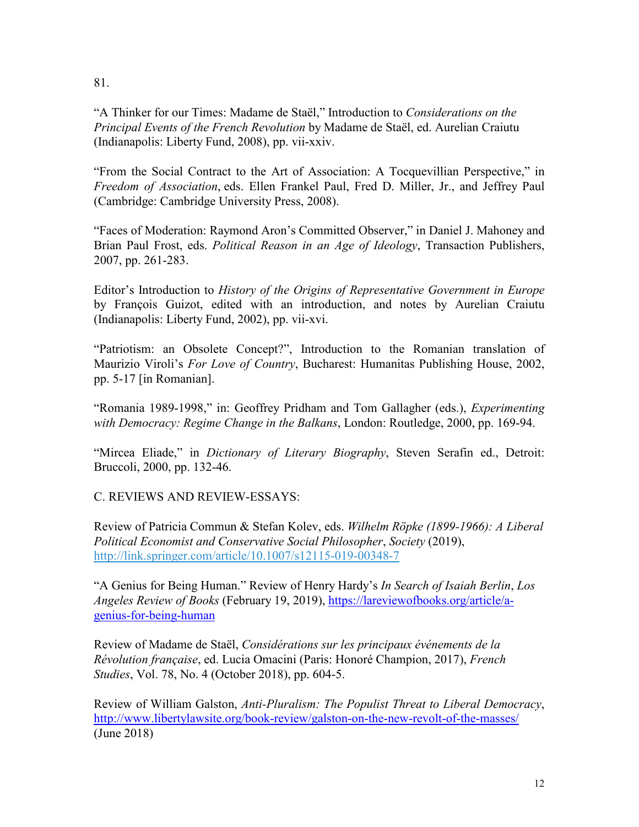81.

"A Thinker for our Times: Madame de Staël," Introduction to *Considerations on the Principal Events of the French Revolution* by Madame de Staël, ed. Aurelian Craiutu (Indianapolis: Liberty Fund, 2008), pp. vii-xxiv.

"From the Social Contract to the Art of Association: A Tocquevillian Perspective," in *Freedom of Association*, eds. Ellen Frankel Paul, Fred D. Miller, Jr., and Jeffrey Paul (Cambridge: Cambridge University Press, 2008).

"Faces of Moderation: Raymond Aron's Committed Observer," in Daniel J. Mahoney and Brian Paul Frost, eds. *Political Reason in an Age of Ideology*, Transaction Publishers, 2007, pp. 261-283.

Editor's Introduction to *History of the Origins of Representative Government in Europe* by François Guizot, edited with an introduction, and notes by Aurelian Craiutu (Indianapolis: Liberty Fund, 2002), pp. vii-xvi.

"Patriotism: an Obsolete Concept?", Introduction to the Romanian translation of Maurizio Viroli's *For Love of Country*, Bucharest: Humanitas Publishing House, 2002, pp. 5-17 [in Romanian].

"Romania 1989-1998," in: Geoffrey Pridham and Tom Gallagher (eds.), *Experimenting with Democracy: Regime Change in the Balkans*, London: Routledge, 2000, pp. 169-94.

"Mircea Eliade," in *Dictionary of Literary Biography*, Steven Serafin ed., Detroit: Bruccoli, 2000, pp. 132-46.

C. REVIEWS AND REVIEW-ESSAYS:

Review of Patricia Commun & Stefan Kolev, eds. *Wilhelm Röpke (1899-1966): A Liberal Political Economist and Conservative Social Philosopher*, *Society* (2019), [http://link.springer.com/article/10.1007/s12115-019-00348-7](http://links.springernature.com/f/a/ta9p2gmeaZHGFT08yYPWsQ%7E%7E/AABE5gA%7E/RgRec_9cP0QwaHR0cDovL3d3dy5zcHJpbmdlci5jb20vLS8yL0FXbWRiRkk1MDBhN21nTVg3UDkwVwNzcGNCCgAA3MuSXM6mqoJSEmFjcmFpdXR1QHlhaG9vLmNvbVgEAAAG5w%7E%7E)

"A Genius for Being Human." Review of Henry Hardy's *In Search of Isaiah Berlin*, *Los Angeles Review of Books* (February 19, 2019), [https://lareviewofbooks.org/article/a](https://lareviewofbooks.org/article/a-genius-for-being-human)[genius-for-being-human](https://lareviewofbooks.org/article/a-genius-for-being-human)

Review of Madame de Staël, *Considérations sur les principaux événements de la Révolution française*, ed. Lucia Omacini (Paris: Honoré Champion, 2017), *French Studies*, Vol. 78, No. 4 (October 2018), pp. 604-5.

Review of William Galston, *Anti-Pluralism: The Populist Threat to Liberal Democracy*, <http://www.libertylawsite.org/book-review/galston-on-the-new-revolt-of-the-masses/> (June 2018)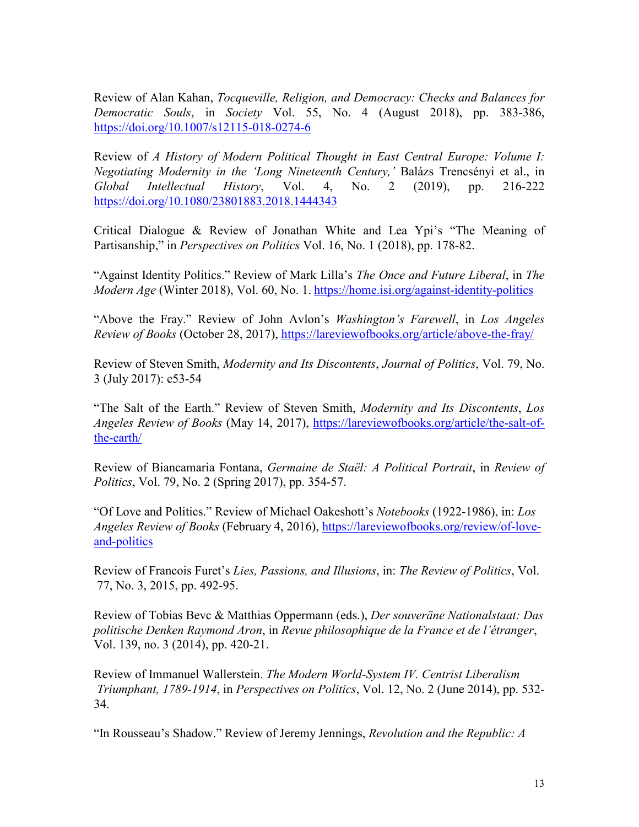Review of Alan Kahan, *Tocqueville, Religion, and Democracy: Checks and Balances for Democratic Souls*, in *Society* Vol. 55, No. 4 (August 2018), pp. 383-386, <https://doi.org/10.1007/s12115-018-0274-6>

Review of *A History of Modern Political Thought in East Central Europe: Volume I: Negotiating Modernity in the 'Long Nineteenth Century,'* Balázs Trencsényi et al., in *Global Intellectual History*, Vol. 4, No. 2 (2019), pp. 216-222 <https://doi.org/10.1080/23801883.2018.1444343>

Critical Dialogue & Review of Jonathan White and Lea Ypi's "The Meaning of Partisanship," in *Perspectives on Politics* Vol. 16, No. 1 (2018), pp. 178-82.

"Against Identity Politics." Review of Mark Lilla's *The Once and Future Liberal*, in *The Modern Age* (Winter 2018), Vol. 60, No. 1. <https://home.isi.org/against-identity-politics>

"Above the Fray." Review of John Avlon's *Washington's Farewell*, in *Los Angeles Review of Books* (October 28, 2017),<https://lareviewofbooks.org/article/above-the-fray/>

Review of Steven Smith, *Modernity and Its Discontents*, *Journal of Politics*, Vol. 79, No. 3 (July 2017): e53-54

"The Salt of the Earth." Review of Steven Smith, *Modernity and Its Discontents*, *Los Angeles Review of Books* (May 14, 2017), [https://lareviewofbooks.org/article/the-salt-of](https://lareviewofbooks.org/article/the-salt-of-the-earth/)[the-earth/](https://lareviewofbooks.org/article/the-salt-of-the-earth/)

Review of Biancamaria Fontana, *Germaine de Staël: A Political Portrait*, in *Review of Politics*, Vol. 79, No. 2 (Spring 2017), pp. 354-57.

"Of Love and Politics." Review of Michael Oakeshott's *Notebooks* (1922-1986), in: *Los Angeles Review of Books* (February 4, 2016), [https://lareviewofbooks.org/review/of-love](https://lareviewofbooks.org/review/of-love-and-politics)[and-politics](https://lareviewofbooks.org/review/of-love-and-politics)

Review of Francois Furet's *Lies, Passions, and Illusions*, in: *The Review of Politics*, Vol. 77, No. 3, 2015, pp. 492-95.

Review of Tobias Bevc & Matthias Oppermann (eds.), *Der souveräne Nationalstaat: Das politische Denken Raymond Aron*, in *Revue philosophique de la France et de l'étranger*, Vol. 139, no. 3 (2014), pp. 420-21.

Review of Immanuel Wallerstein. *The Modern World-System IV. Centrist Liberalism Triumphant, 1789-1914*, in *Perspectives on Politics*, Vol. 12, No. 2 (June 2014), pp. 532- 34.

"In Rousseau's Shadow." Review of Jeremy Jennings, *Revolution and the Republic: A*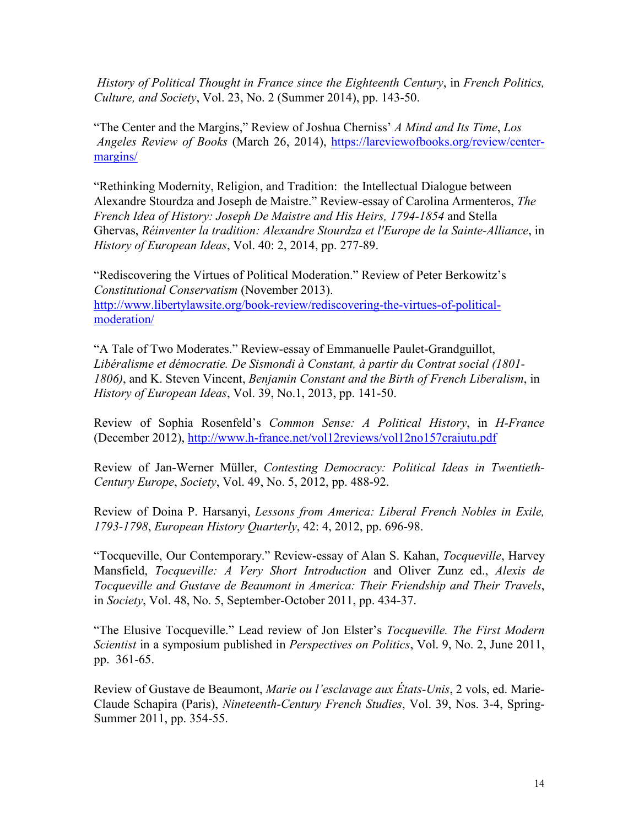*History of Political Thought in France since the Eighteenth Century*, in *French Politics, Culture, and Society*, Vol. 23, No. 2 (Summer 2014), pp. 143-50.

"The Center and the Margins," Review of Joshua Cherniss' *A Mind and Its Time*, *Los Angeles Review of Books* (March 26, 2014), [https://lareviewofbooks.org/review/center](https://lareviewofbooks.org/review/center-margins/)[margins/](https://lareviewofbooks.org/review/center-margins/)

"Rethinking Modernity, Religion, and Tradition: the Intellectual Dialogue between Alexandre Stourdza and Joseph de Maistre." Review-essay of Carolina Armenteros, *The French Idea of History: Joseph De Maistre and His Heirs, 1794-1854* and Stella Ghervas, *Réinventer la tradition: Alexandre Stourdza et l'Europe de la Sainte-Alliance*, in *History of European Ideas*, Vol. 40: 2, 2014, pp. 277-89.

"Rediscovering the Virtues of Political Moderation." Review of Peter Berkowitz's *Constitutional Conservatism* (November 2013). [http://www.libertylawsite.org/book-review/rediscovering-the-virtues-of-political](http://www.libertylawsite.org/book-review/rediscovering-the-virtues-of-political-moderation/)[moderation/](http://www.libertylawsite.org/book-review/rediscovering-the-virtues-of-political-moderation/)

"A Tale of Two Moderates." Review-essay of Emmanuelle Paulet-Grandguillot, *Libéralisme et démocratie. De Sismondi à Constant, à partir du Contrat social (1801- 1806)*, and K. Steven Vincent, *Benjamin Constant and the Birth of French Liberalism*, in *History of European Ideas*, Vol. 39, No.1, 2013, pp. 141-50.

Review of Sophia Rosenfeld's *Common Sense: A Political History*, in *H-France* (December 2012),<http://www.h-france.net/vol12reviews/vol12no157craiutu.pdf>

Review of Jan-Werner Müller, *Contesting Democracy: Political Ideas in Twentieth-Century Europe*, *Society*, Vol. 49, No. 5, 2012, pp. 488-92.

Review of Doina P. Harsanyi, *Lessons from America: Liberal French Nobles in Exile, 1793-1798*, *European History Quarterly*, 42: 4, 2012, pp. 696-98.

"Tocqueville, Our Contemporary." Review-essay of Alan S. Kahan, *Tocqueville*, Harvey Mansfield, *Tocqueville: A Very Short Introduction* and Oliver Zunz ed., *Alexis de Tocqueville and Gustave de Beaumont in America: Their Friendship and Their Travels*, in *Society*, Vol. 48, No. 5, September-October 2011, pp. 434-37.

"The Elusive Tocqueville." Lead review of Jon Elster's *Tocqueville. The First Modern Scientist* in a symposium published in *Perspectives on Politics*, Vol. 9, No. 2, June 2011, pp. 361-65.

Review of Gustave de Beaumont, *Marie ou l'esclavage aux États-Unis*, 2 vols, ed. Marie-Claude Schapira (Paris), *Nineteenth-Century French Studies*, Vol. 39, Nos. 3-4, Spring-Summer 2011, pp. 354-55.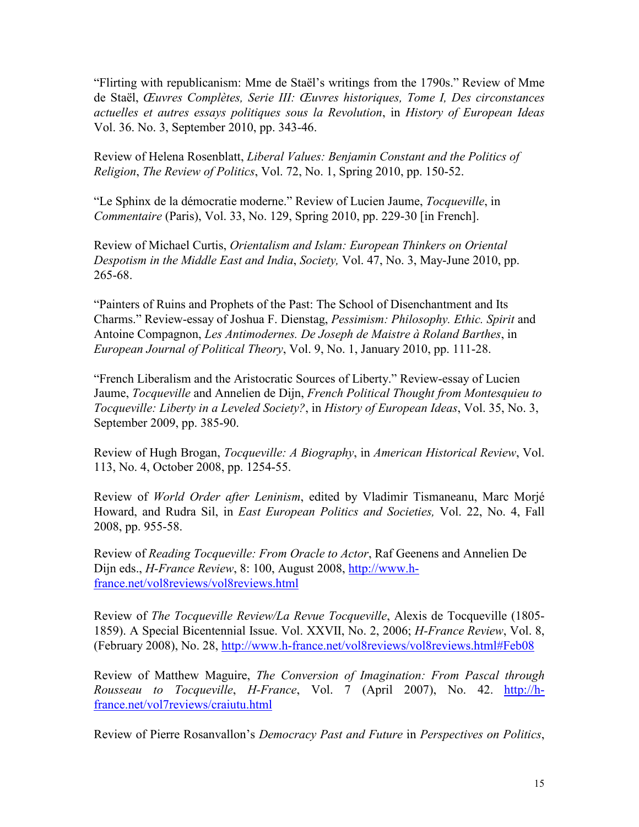"Flirting with republicanism: Mme de Staël's writings from the 1790s." Review of Mme de Staël, *Œuvres Complètes, Serie III: Œuvres historiques, Tome I, Des circonstances actuelles et autres essays politiques sous la Revolution*, in *History of European Ideas* Vol. 36. No. 3, September 2010, pp. 343-46.

Review of Helena Rosenblatt, *Liberal Values: Benjamin Constant and the Politics of Religion*, *The Review of Politics*, Vol. 72, No. 1, Spring 2010, pp. 150-52.

"Le Sphinx de la démocratie moderne." Review of Lucien Jaume, *Tocqueville*, in *Commentaire* (Paris), Vol. 33, No. 129, Spring 2010, pp. 229-30 [in French].

Review of Michael Curtis, *Orientalism and Islam: European Thinkers on Oriental Despotism in the Middle East and India*, *Society,* Vol. 47, No. 3, May-June 2010, pp. 265-68.

"Painters of Ruins and Prophets of the Past: The School of Disenchantment and Its Charms." Review-essay of Joshua F. Dienstag, *Pessimism: Philosophy. Ethic. Spirit* and Antoine Compagnon, *Les Antimodernes. De Joseph de Maistre à Roland Barthes*, in *European Journal of Political Theory*, Vol. 9, No. 1, January 2010, pp. 111-28.

"French Liberalism and the Aristocratic Sources of Liberty." Review-essay of Lucien Jaume, *Tocqueville* and Annelien de Dijn, *French Political Thought from Montesquieu to Tocqueville: Liberty in a Leveled Society?*, in *History of European Ideas*, Vol. 35, No. 3, September 2009, pp. 385-90.

Review of Hugh Brogan, *Tocqueville: A Biography*, in *American Historical Review*, Vol. 113, No. 4, October 2008, pp. 1254-55.

Review of *World Order after Leninism*, edited by Vladimir Tismaneanu, Marc Morjé Howard, and Rudra Sil, in *East European Politics and Societies,* Vol. 22, No. 4, Fall 2008, pp. 955-58.

Review of *Reading Tocqueville: From Oracle to Actor*, Raf Geenens and Annelien De Dijn eds., *H-France Review*, 8: 100, August 2008, [http://www.h](http://www.h-france.net/vol8reviews/vol8reviews.html)[france.net/vol8reviews/vol8reviews.html](http://www.h-france.net/vol8reviews/vol8reviews.html)

Review of *The Tocqueville Review/La Revue Tocqueville*, Alexis de Tocqueville (1805- 1859). A Special Bicentennial Issue. Vol. XXVII, No. 2, 2006; *H-France Review*, Vol. 8, (February 2008), No. 28,<http://www.h-france.net/vol8reviews/vol8reviews.html#Feb08>

Review of Matthew Maguire, *The Conversion of Imagination: From Pascal through Rousseau to Tocqueville*, *H-France*, Vol. 7 (April 2007), No. 42. [http://h](http://h-france.net/vol7reviews/craiutu.html)[france.net/vol7reviews/craiutu.html](http://h-france.net/vol7reviews/craiutu.html)

Review of Pierre Rosanvallon's *Democracy Past and Future* in *Perspectives on Politics*,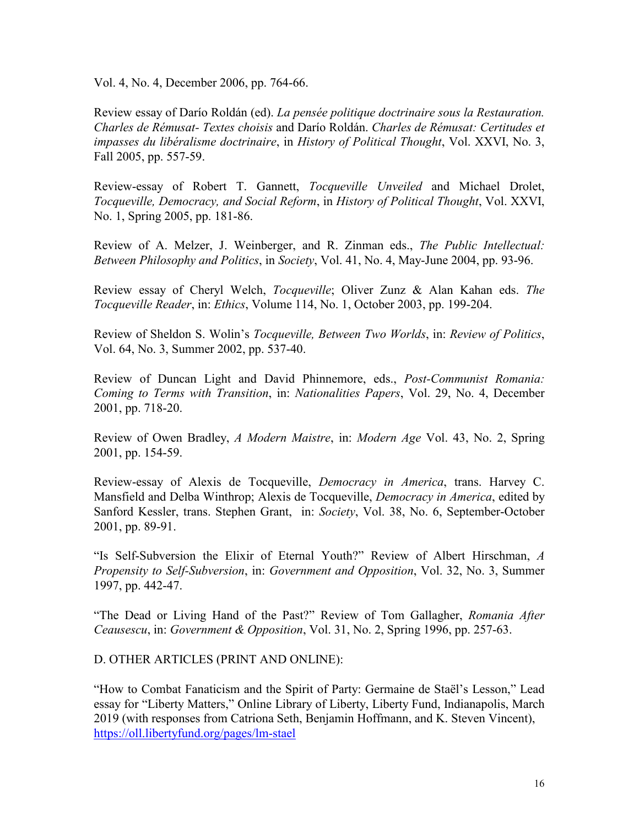Vol. 4, No. 4, December 2006, pp. 764-66.

Review essay of Darío Roldán (ed). *La pensée politique doctrinaire sous la Restauration. Charles de Rémusat- Textes choisis* and Darío Roldán. *Charles de Rémusat: Certitudes et impasses du libéralisme doctrinaire*, in *History of Political Thought*, Vol. XXVI, No. 3, Fall 2005, pp. 557-59.

Review-essay of Robert T. Gannett, *Tocqueville Unveiled* and Michael Drolet, *Tocqueville, Democracy, and Social Reform*, in *History of Political Thought*, Vol. XXVI, No. 1, Spring 2005, pp. 181-86.

Review of A. Melzer, J. Weinberger, and R. Zinman eds., *The Public Intellectual: Between Philosophy and Politics*, in *Society*, Vol. 41, No. 4, May-June 2004, pp. 93-96.

Review essay of Cheryl Welch, *Tocqueville*; Oliver Zunz & Alan Kahan eds. *The Tocqueville Reader*, in: *Ethics*, Volume 114, No. 1, October 2003, pp. 199-204.

Review of Sheldon S. Wolin's *Tocqueville, Between Two Worlds*, in: *Review of Politics*, Vol. 64, No. 3, Summer 2002, pp. 537-40.

Review of Duncan Light and David Phinnemore, eds., *Post-Communist Romania: Coming to Terms with Transition*, in: *Nationalities Papers*, Vol. 29, No. 4, December 2001, pp. 718-20.

Review of Owen Bradley, *A Modern Maistre*, in: *Modern Age* Vol. 43, No. 2, Spring 2001, pp. 154-59.

Review-essay of Alexis de Tocqueville, *Democracy in America*, trans. Harvey C. Mansfield and Delba Winthrop; Alexis de Tocqueville, *Democracy in America*, edited by Sanford Kessler, trans. Stephen Grant, in: *Society*, Vol. 38, No. 6, September-October 2001, pp. 89-91.

"Is Self-Subversion the Elixir of Eternal Youth?" Review of Albert Hirschman, *A Propensity to Self-Subversion*, in: *Government and Opposition*, Vol. 32, No. 3, Summer 1997, pp. 442-47.

"The Dead or Living Hand of the Past?" Review of Tom Gallagher, *Romania After Ceausescu*, in: *Government & Opposition*, Vol. 31, No. 2, Spring 1996, pp. 257-63.

D. OTHER ARTICLES (PRINT AND ONLINE):

"How to Combat Fanaticism and the Spirit of Party: Germaine de Staël's Lesson," Lead essay for "Liberty Matters," Online Library of Liberty, Liberty Fund, Indianapolis, March 2019 (with responses from Catriona Seth, Benjamin Hoffmann, and K. Steven Vincent), <https://oll.libertyfund.org/pages/lm-stael>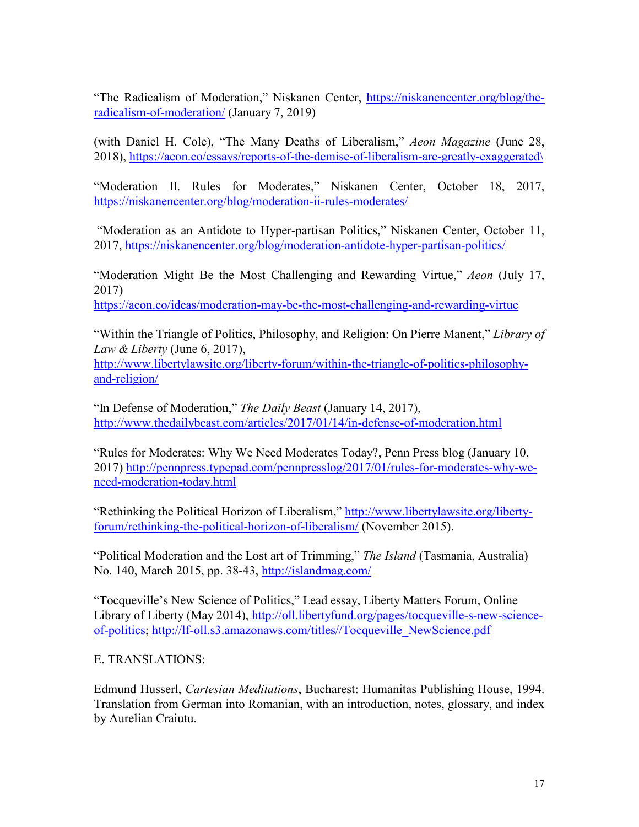"The Radicalism of Moderation," Niskanen Center, [https://niskanencenter.org/blog/the](https://niskanencenter.org/blog/the-radicalism-of-moderation/)[radicalism-of-moderation/](https://niskanencenter.org/blog/the-radicalism-of-moderation/) (January 7, 2019)

(with Daniel H. Cole), "The Many Deaths of Liberalism," *Aeon Magazine* (June 28, 2018), [https://aeon.co/essays/reports-of-the-demise-of-liberalism-are-greatly-exaggerated\](https://aeon.co/essays/reports-of-the-demise-of-liberalism-are-greatly-exaggerated/)

"Moderation II. Rules for Moderates," Niskanen Center, October 18, 2017, <https://niskanencenter.org/blog/moderation-ii-rules-moderates/>

"Moderation as an Antidote to Hyper-partisan Politics," Niskanen Center, October 11, 2017,<https://niskanencenter.org/blog/moderation-antidote-hyper-partisan-politics/>

"Moderation Might Be the Most Challenging and Rewarding Virtue," *Aeon* (July 17, 2017)

<https://aeon.co/ideas/moderation-may-be-the-most-challenging-and-rewarding-virtue>

"Within the Triangle of Politics, Philosophy, and Religion: On Pierre Manent," *Library of Law & Liberty* (June 6, 2017),

[http://www.libertylawsite.org/liberty-forum/within-the-triangle-of-politics-philosophy](http://www.libertylawsite.org/liberty-forum/within-the-triangle-of-politics-philosophy-and-religion/)[and-religion/](http://www.libertylawsite.org/liberty-forum/within-the-triangle-of-politics-philosophy-and-religion/)

"In Defense of Moderation," *The Daily Beast* (January 14, 2017), <http://www.thedailybeast.com/articles/2017/01/14/in-defense-of-moderation.html>

"Rules for Moderates: Why We Need Moderates Today?, Penn Press blog (January 10, 2017) [http://pennpress.typepad.com/pennpresslog/2017/01/rules-for-moderates-why-we](http://pennpress.typepad.com/pennpresslog/2017/01/rules-for-moderates-why-we-need-moderation-today.html)[need-moderation-today.html](http://pennpress.typepad.com/pennpresslog/2017/01/rules-for-moderates-why-we-need-moderation-today.html)

"Rethinking the Political Horizon of Liberalism," [http://www.libertylawsite.org/liberty](http://www.libertylawsite.org/liberty-forum/rethinking-the-political-horizon-of-liberalism/)[forum/rethinking-the-political-horizon-of-liberalism/](http://www.libertylawsite.org/liberty-forum/rethinking-the-political-horizon-of-liberalism/) (November 2015).

"Political Moderation and the Lost art of Trimming," *The Island* (Tasmania, Australia) No. 140, March 2015, pp. 38-43,<http://islandmag.com/>

"Tocqueville's New Science of Politics," Lead essay, Liberty Matters Forum, Online Library of Liberty (May 2014), [http://oll.libertyfund.org/pages/tocqueville-s-new-science](http://oll.libertyfund.org/pages/tocqueville-s-new-science-of-politics)[of-politics;](http://oll.libertyfund.org/pages/tocqueville-s-new-science-of-politics) [http://lf-oll.s3.amazonaws.com/titles//Tocqueville\\_NewScience.pdf](http://lf-oll.s3.amazonaws.com/titles/Tocqueville_NewScience.pdf)

E. TRANSLATIONS:

Edmund Husserl, *Cartesian Meditations*, Bucharest: Humanitas Publishing House, 1994. Translation from German into Romanian, with an introduction, notes, glossary, and index by Aurelian Craiutu.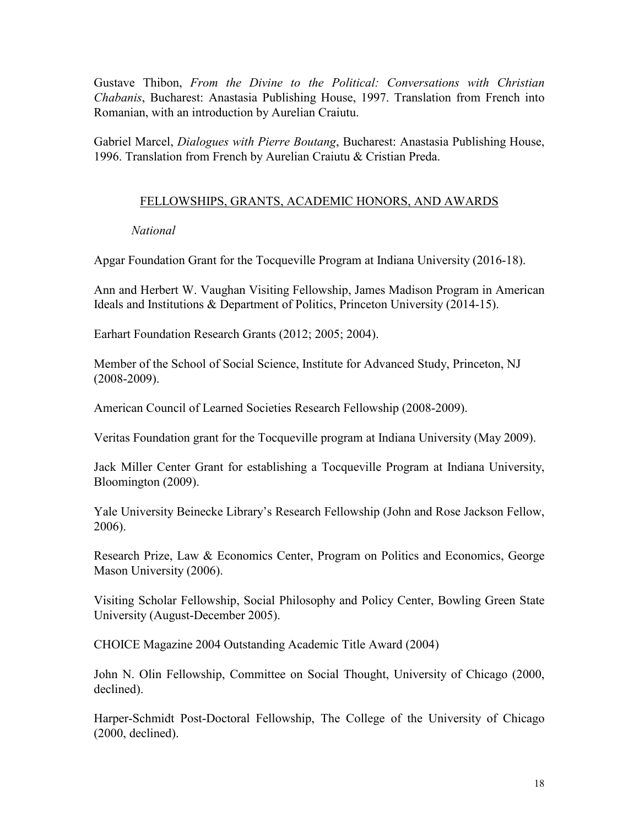Gustave Thibon, *From the Divine to the Political: Conversations with Christian Chabanis*, Bucharest: Anastasia Publishing House, 1997. Translation from French into Romanian, with an introduction by Aurelian Craiutu.

Gabriel Marcel, *Dialogues with Pierre Boutang*, Bucharest: Anastasia Publishing House, 1996. Translation from French by Aurelian Craiutu & Cristian Preda.

## FELLOWSHIPS, GRANTS, ACADEMIC HONORS, AND AWARDS

### *National*

Apgar Foundation Grant for the Tocqueville Program at Indiana University (2016-18).

Ann and Herbert W. Vaughan Visiting Fellowship, James Madison Program in American Ideals and Institutions & Department of Politics, Princeton University (2014-15).

Earhart Foundation Research Grants (2012; 2005; 2004).

Member of the School of Social Science, Institute for Advanced Study, Princeton, NJ (2008-2009).

American Council of Learned Societies Research Fellowship (2008-2009).

Veritas Foundation grant for the Tocqueville program at Indiana University (May 2009).

Jack Miller Center Grant for establishing a Tocqueville Program at Indiana University, Bloomington (2009).

Yale University Beinecke Library's Research Fellowship (John and Rose Jackson Fellow, 2006).

Research Prize, Law & Economics Center, Program on Politics and Economics, George Mason University (2006).

Visiting Scholar Fellowship, Social Philosophy and Policy Center, Bowling Green State University (August-December 2005).

CHOICE Magazine 2004 Outstanding Academic Title Award (2004)

John N. Olin Fellowship, Committee on Social Thought, University of Chicago (2000, declined).

Harper-Schmidt Post-Doctoral Fellowship, The College of the University of Chicago (2000, declined).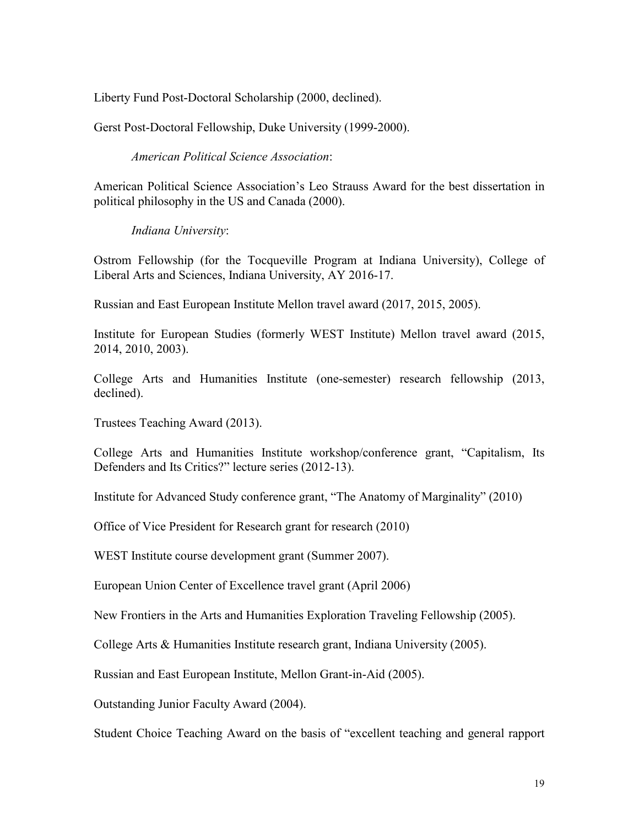Liberty Fund Post-Doctoral Scholarship (2000, declined).

Gerst Post-Doctoral Fellowship, Duke University (1999-2000).

*American Political Science Association*:

American Political Science Association's Leo Strauss Award for the best dissertation in political philosophy in the US and Canada (2000).

*Indiana University*:

Ostrom Fellowship (for the Tocqueville Program at Indiana University), College of Liberal Arts and Sciences, Indiana University, AY 2016-17.

Russian and East European Institute Mellon travel award (2017, 2015, 2005).

Institute for European Studies (formerly WEST Institute) Mellon travel award (2015, 2014, 2010, 2003).

College Arts and Humanities Institute (one-semester) research fellowship (2013, declined).

Trustees Teaching Award (2013).

College Arts and Humanities Institute workshop/conference grant, "Capitalism, Its Defenders and Its Critics?" lecture series (2012-13).

Institute for Advanced Study conference grant, "The Anatomy of Marginality" (2010)

Office of Vice President for Research grant for research (2010)

WEST Institute course development grant (Summer 2007).

European Union Center of Excellence travel grant (April 2006)

New Frontiers in the Arts and Humanities Exploration Traveling Fellowship (2005).

College Arts & Humanities Institute research grant, Indiana University (2005).

Russian and East European Institute, Mellon Grant-in-Aid (2005).

Outstanding Junior Faculty Award (2004).

Student Choice Teaching Award on the basis of "excellent teaching and general rapport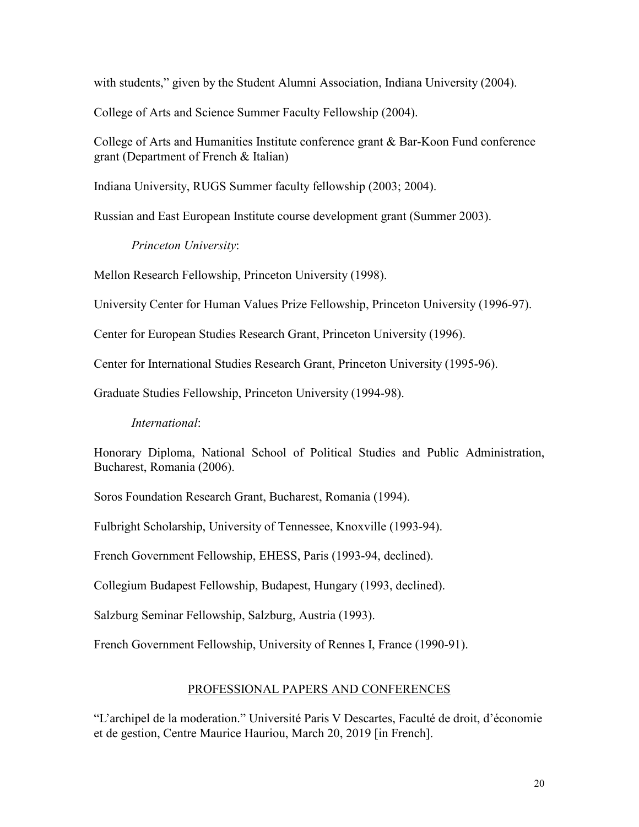with students," given by the Student Alumni Association, Indiana University (2004).

College of Arts and Science Summer Faculty Fellowship (2004).

College of Arts and Humanities Institute conference grant & Bar-Koon Fund conference grant (Department of French & Italian)

Indiana University, RUGS Summer faculty fellowship (2003; 2004).

Russian and East European Institute course development grant (Summer 2003).

*Princeton University*:

Mellon Research Fellowship, Princeton University (1998).

University Center for Human Values Prize Fellowship, Princeton University (1996-97).

Center for European Studies Research Grant, Princeton University (1996).

Center for International Studies Research Grant, Princeton University (1995-96).

Graduate Studies Fellowship, Princeton University (1994-98).

#### *International*:

Honorary Diploma, National School of Political Studies and Public Administration, Bucharest, Romania (2006).

Soros Foundation Research Grant, Bucharest, Romania (1994).

Fulbright Scholarship, University of Tennessee, Knoxville (1993-94).

French Government Fellowship, EHESS, Paris (1993-94, declined).

Collegium Budapest Fellowship, Budapest, Hungary (1993, declined).

Salzburg Seminar Fellowship, Salzburg, Austria (1993).

French Government Fellowship, University of Rennes I, France (1990-91).

#### PROFESSIONAL PAPERS AND CONFERENCES

"L'archipel de la moderation." Université Paris V Descartes, Faculté de droit, d'économie et de gestion, Centre Maurice Hauriou, March 20, 2019 [in French].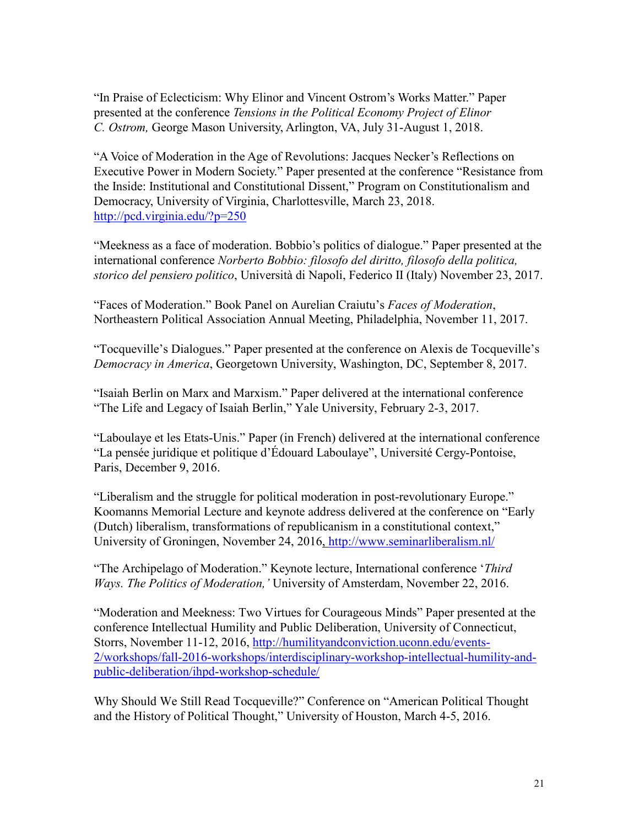"In Praise of Eclecticism: Why Elinor and Vincent Ostrom's Works Matter." Paper presented at the conference *Tensions in the Political Economy Project of Elinor C. Ostrom,* George Mason University, Arlington, VA, July 31-August 1, 2018.

"A Voice of Moderation in the Age of Revolutions: Jacques Necker's Reflections on Executive Power in Modern Society." Paper presented at the conference "Resistance from the Inside: Institutional and Constitutional Dissent," Program on Constitutionalism and Democracy, University of Virginia, Charlottesville, March 23, 2018. <http://pcd.virginia.edu/?p=250>

"Meekness as a face of moderation. Bobbio's politics of dialogue." Paper presented at the international conference *Norberto Bobbio: filosofo del diritto, filosofo della politica, storico del pensiero politico*, Università di Napoli, Federico II (Italy) November 23, 2017.

"Faces of Moderation." Book Panel on Aurelian Craiutu's *Faces of Moderation*, Northeastern Political Association Annual Meeting, Philadelphia, November 11, 2017.

"Tocqueville's Dialogues." Paper presented at the conference on Alexis de Tocqueville's *Democracy in America*, Georgetown University, Washington, DC, September 8, 2017.

"Isaiah Berlin on Marx and Marxism." Paper delivered at the international conference "The Life and Legacy of Isaiah Berlin," Yale University, February 2-3, 2017.

"Laboulaye et les Etats-Unis." Paper (in French) delivered at the international conference "La pensée juridique et politique d'Édouard Laboulaye", Université Cergy-Pontoise, Paris, December 9, 2016.

"Liberalism and the struggle for political moderation in post-revolutionary Europe." Koomanns Memorial Lecture and keynote address delivered at the conference on "Early (Dutch) liberalism, transformations of republicanism in a constitutional context," University of Groningen, November 24, 2016,<http://www.seminarliberalism.nl/>

"The Archipelago of Moderation." Keynote lecture, International conference '*Third Ways. The Politics of Moderation,'* University of Amsterdam, November 22, 2016.

"Moderation and Meekness: Two Virtues for Courageous Minds" Paper presented at the conference Intellectual Humility and Public Deliberation, University of Connecticut, Storrs, November 11-12, 2016, [http://humilityandconviction.uconn.edu/events-](http://humilityandconviction.uconn.edu/events-2/workshops/fall-2016-workshops/interdisciplinary-workshop-intellectual-humility-and-public-deliberation/ihpd-workshop-schedule/)[2/workshops/fall-2016-workshops/interdisciplinary-workshop-intellectual-humility-and](http://humilityandconviction.uconn.edu/events-2/workshops/fall-2016-workshops/interdisciplinary-workshop-intellectual-humility-and-public-deliberation/ihpd-workshop-schedule/)[public-deliberation/ihpd-workshop-schedule/](http://humilityandconviction.uconn.edu/events-2/workshops/fall-2016-workshops/interdisciplinary-workshop-intellectual-humility-and-public-deliberation/ihpd-workshop-schedule/)

Why Should We Still Read Tocqueville?" Conference on "American Political Thought and the History of Political Thought," University of Houston, March 4-5, 2016.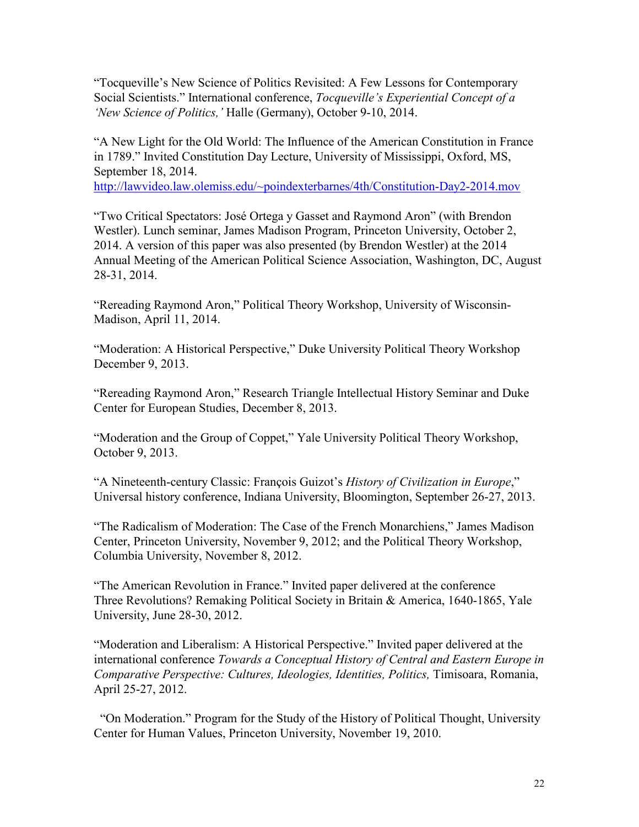"Tocqueville's New Science of Politics Revisited: A Few Lessons for Contemporary Social Scientists." International conference, *Tocqueville's Experiential Concept of a 'New Science of Politics,'* Halle (Germany), October 9-10, 2014.

"A New Light for the Old World: The Influence of the American Constitution in France in 1789." Invited Constitution Day Lecture, University of Mississippi, Oxford, MS, September 18, 2014.

[http://lawvideo.law.olemiss.edu/~poindexterbarnes/4th/Constitution-Day2-2014.mov](http://lawvideo.law.olemiss.edu/%7Epoindexterbarnes/4th/Constitution-Day2-2014.mov)

"Two Critical Spectators: José Ortega y Gasset and Raymond Aron" (with Brendon Westler). Lunch seminar, James Madison Program, Princeton University, October 2, 2014. A version of this paper was also presented (by Brendon Westler) at the 2014 Annual Meeting of the American Political Science Association, Washington, DC, August 28-31, 2014.

"Rereading Raymond Aron," Political Theory Workshop, University of Wisconsin-Madison, April 11, 2014.

"Moderation: A Historical Perspective," Duke University Political Theory Workshop December 9, 2013.

"Rereading Raymond Aron," Research Triangle Intellectual History Seminar and Duke Center for European Studies, December 8, 2013.

"Moderation and the Group of Coppet," Yale University Political Theory Workshop, October 9, 2013.

"A Nineteenth-century Classic: François Guizot's *History of Civilization in Europe*," Universal history conference, Indiana University, Bloomington, September 26-27, 2013.

"The Radicalism of Moderation: The Case of the French Monarchiens," James Madison Center, Princeton University, November 9, 2012; and the Political Theory Workshop, Columbia University, November 8, 2012.

"The American Revolution in France." Invited paper delivered at the conference Three Revolutions? Remaking Political Society in Britain & America, 1640-1865, Yale University, June 28-30, 2012.

"Moderation and Liberalism: A Historical Perspective." Invited paper delivered at the international conference *Towards a Conceptual History of Central and Eastern Europe in Comparative Perspective: Cultures, Ideologies, Identities, Politics,* Timisoara, Romania, April 25-27, 2012.

 "On Moderation." Program for the Study of the History of Political Thought, University Center for Human Values, Princeton University, November 19, 2010.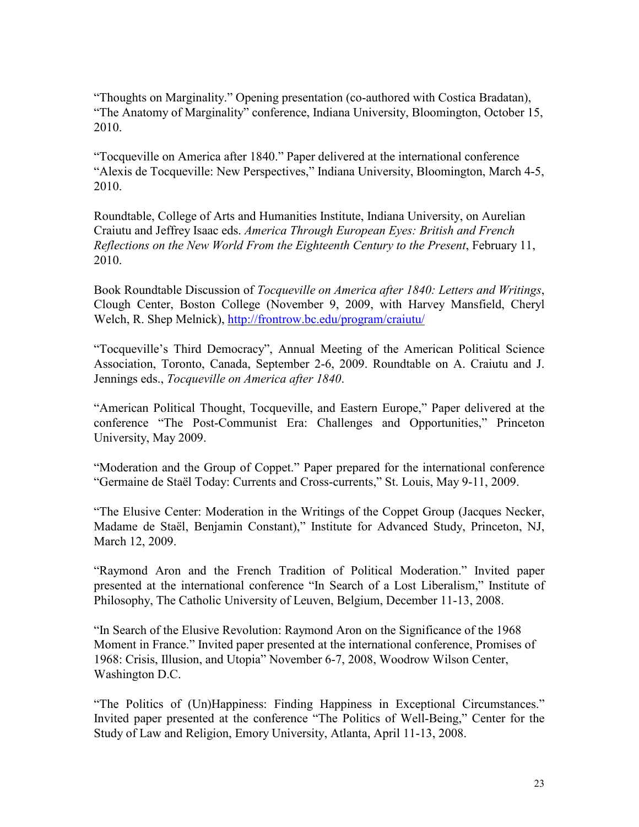"Thoughts on Marginality." Opening presentation (co-authored with Costica Bradatan), "The Anatomy of Marginality" conference, Indiana University, Bloomington, October 15, 2010.

"Tocqueville on America after 1840." Paper delivered at the international conference "Alexis de Tocqueville: New Perspectives," Indiana University, Bloomington, March 4-5, 2010.

Roundtable, College of Arts and Humanities Institute, Indiana University, on Aurelian Craiutu and Jeffrey Isaac eds. *America Through European Eyes: British and French Reflections on the New World From the Eighteenth Century to the Present*, February 11, 2010.

Book Roundtable Discussion of *Tocqueville on America after 1840: Letters and Writings*, Clough Center, Boston College (November 9, 2009, with Harvey Mansfield, Cheryl Welch, R. Shep Melnick),<http://frontrow.bc.edu/program/craiutu/>

"Tocqueville's Third Democracy", Annual Meeting of the American Political Science Association, Toronto, Canada, September 2-6, 2009. Roundtable on A. Craiutu and J. Jennings eds., *Tocqueville on America after 1840*.

"American Political Thought, Tocqueville, and Eastern Europe," Paper delivered at the conference "The Post-Communist Era: Challenges and Opportunities," Princeton University, May 2009.

"Moderation and the Group of Coppet." Paper prepared for the international conference "Germaine de Staël Today: Currents and Cross-currents," St. Louis, May 9-11, 2009.

"The Elusive Center: Moderation in the Writings of the Coppet Group (Jacques Necker, Madame de Staël, Benjamin Constant)," Institute for Advanced Study, Princeton, NJ, March 12, 2009.

"Raymond Aron and the French Tradition of Political Moderation." Invited paper presented at the international conference "In Search of a Lost Liberalism," Institute of Philosophy, The Catholic University of Leuven, Belgium, December 11-13, 2008.

"In Search of the Elusive Revolution: Raymond Aron on the Significance of the 1968 Moment in France." Invited paper presented at the international conference, Promises of 1968: Crisis, Illusion, and Utopia" November 6-7, 2008, Woodrow Wilson Center, Washington D.C.

"The Politics of (Un)Happiness: Finding Happiness in Exceptional Circumstances." Invited paper presented at the conference "The Politics of Well-Being," Center for the Study of Law and Religion, Emory University, Atlanta, April 11-13, 2008.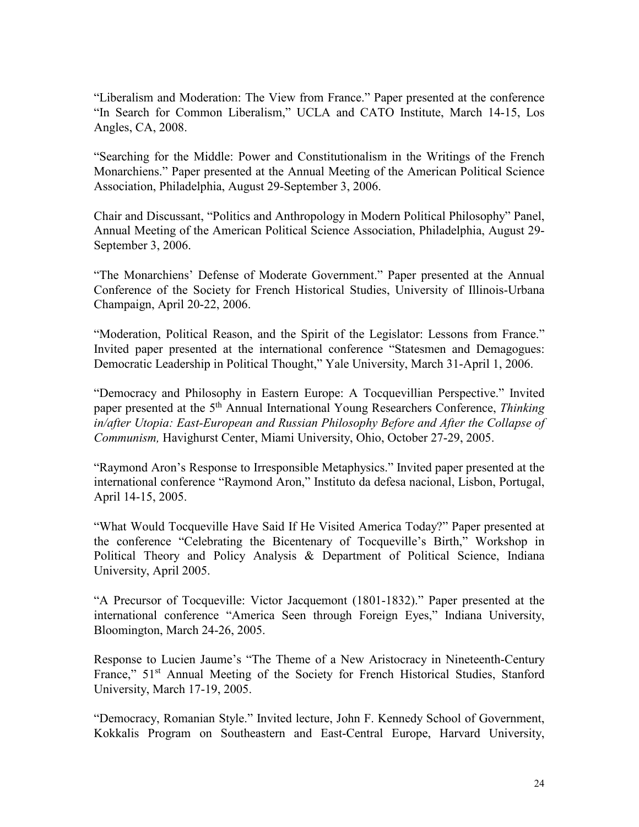"Liberalism and Moderation: The View from France." Paper presented at the conference "In Search for Common Liberalism," UCLA and CATO Institute, March 14-15, Los Angles, CA, 2008.

"Searching for the Middle: Power and Constitutionalism in the Writings of the French Monarchiens." Paper presented at the Annual Meeting of the American Political Science Association, Philadelphia, August 29-September 3, 2006.

Chair and Discussant, "Politics and Anthropology in Modern Political Philosophy" Panel, Annual Meeting of the American Political Science Association, Philadelphia, August 29- September 3, 2006.

"The Monarchiens' Defense of Moderate Government." Paper presented at the Annual Conference of the Society for French Historical Studies, University of Illinois-Urbana Champaign, April 20-22, 2006.

"Moderation, Political Reason, and the Spirit of the Legislator: Lessons from France." Invited paper presented at the international conference "Statesmen and Demagogues: Democratic Leadership in Political Thought," Yale University, March 31-April 1, 2006.

"Democracy and Philosophy in Eastern Europe: A Tocquevillian Perspective." Invited paper presented at the 5<sup>th</sup> Annual International Young Researchers Conference, *Thinking in/after Utopia: East-European and Russian Philosophy Before and After the Collapse of Communism,* Havighurst Center, Miami University, Ohio, October 27-29, 2005.

"Raymond Aron's Response to Irresponsible Metaphysics." Invited paper presented at the international conference "Raymond Aron," Instituto da defesa nacional, Lisbon, Portugal, April 14-15, 2005.

"What Would Tocqueville Have Said If He Visited America Today?" Paper presented at the conference "Celebrating the Bicentenary of Tocqueville's Birth," Workshop in Political Theory and Policy Analysis & Department of Political Science, Indiana University, April 2005.

"A Precursor of Tocqueville: Victor Jacquemont (1801-1832)." Paper presented at the international conference "America Seen through Foreign Eyes," Indiana University, Bloomington, March 24-26, 2005.

Response to Lucien Jaume's "The Theme of a New Aristocracy in Nineteenth-Century France," 51<sup>st</sup> Annual Meeting of the Society for French Historical Studies, Stanford University, March 17-19, 2005.

"Democracy, Romanian Style." Invited lecture, John F. Kennedy School of Government, Kokkalis Program on Southeastern and East-Central Europe, Harvard University,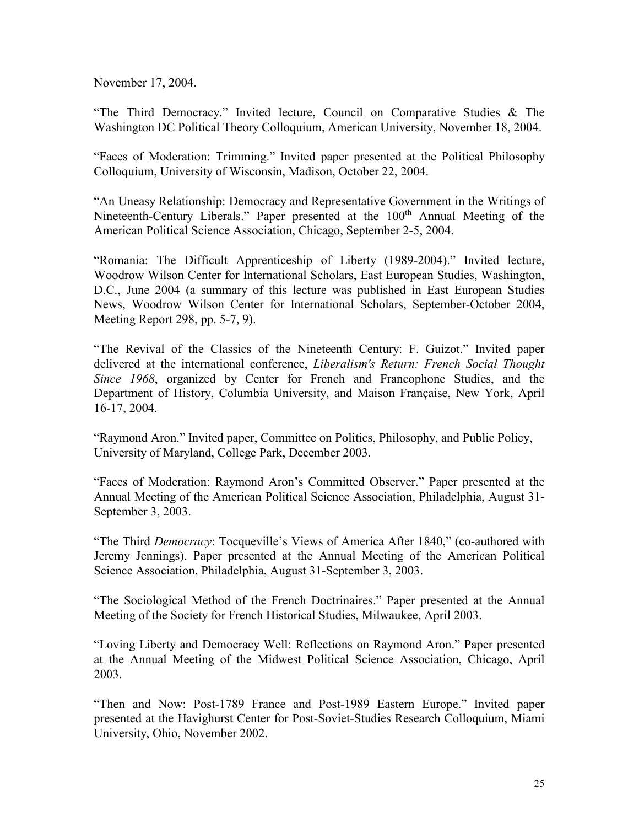November 17, 2004.

"The Third Democracy." Invited lecture, Council on Comparative Studies & The Washington DC Political Theory Colloquium, American University, November 18, 2004.

"Faces of Moderation: Trimming." Invited paper presented at the Political Philosophy Colloquium, University of Wisconsin, Madison, October 22, 2004.

"An Uneasy Relationship: Democracy and Representative Government in the Writings of Nineteenth-Century Liberals." Paper presented at the 100<sup>th</sup> Annual Meeting of the American Political Science Association, Chicago, September 2-5, 2004.

"Romania: The Difficult Apprenticeship of Liberty (1989-2004)." Invited lecture, Woodrow Wilson Center for International Scholars, East European Studies, Washington, D.C., June 2004 (a summary of this lecture was published in East European Studies News, Woodrow Wilson Center for International Scholars, September-October 2004, Meeting Report 298, pp. 5-7, 9).

"The Revival of the Classics of the Nineteenth Century: F. Guizot." Invited paper delivered at the international conference, *Liberalism's Return: French Social Thought Since 1968*, organized by Center for French and Francophone Studies, and the Department of History, Columbia University, and Maison Française, New York, April 16-17, 2004.

"Raymond Aron." Invited paper, Committee on Politics, Philosophy, and Public Policy, University of Maryland, College Park, December 2003.

"Faces of Moderation: Raymond Aron's Committed Observer." Paper presented at the Annual Meeting of the American Political Science Association, Philadelphia, August 31- September 3, 2003.

"The Third *Democracy*: Tocqueville's Views of America After 1840," (co-authored with Jeremy Jennings). Paper presented at the Annual Meeting of the American Political Science Association, Philadelphia, August 31-September 3, 2003.

"The Sociological Method of the French Doctrinaires." Paper presented at the Annual Meeting of the Society for French Historical Studies, Milwaukee, April 2003.

"Loving Liberty and Democracy Well: Reflections on Raymond Aron." Paper presented at the Annual Meeting of the Midwest Political Science Association, Chicago, April 2003.

"Then and Now: Post-1789 France and Post-1989 Eastern Europe." Invited paper presented at the Havighurst Center for Post-Soviet-Studies Research Colloquium, Miami University, Ohio, November 2002.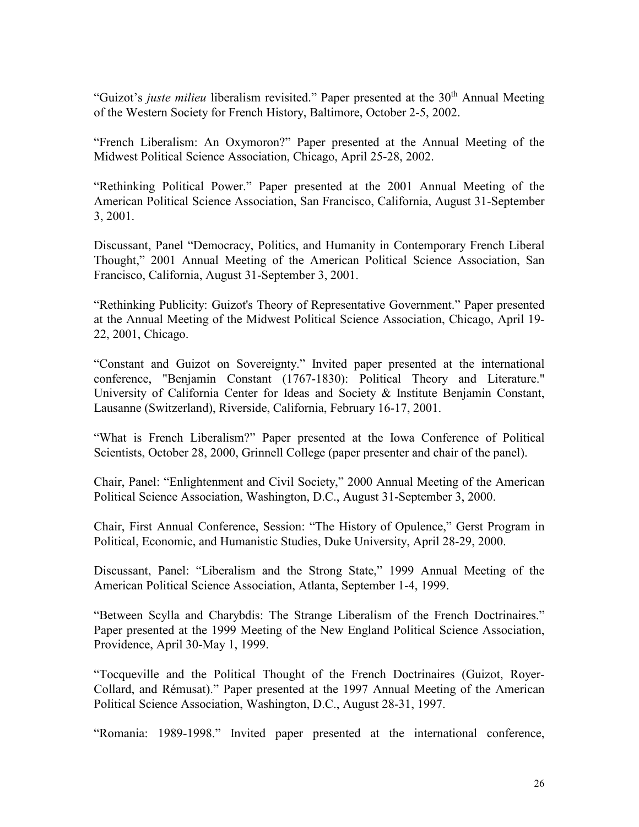"Guizot's *juste milieu* liberalism revisited." Paper presented at the 30<sup>th</sup> Annual Meeting of the Western Society for French History, Baltimore, October 2-5, 2002.

"French Liberalism: An Oxymoron?" Paper presented at the Annual Meeting of the Midwest Political Science Association, Chicago, April 25-28, 2002.

"Rethinking Political Power." Paper presented at the 2001 Annual Meeting of the American Political Science Association, San Francisco, California, August 31-September 3, 2001.

Discussant, Panel "Democracy, Politics, and Humanity in Contemporary French Liberal Thought," 2001 Annual Meeting of the American Political Science Association, San Francisco, California, August 31-September 3, 2001.

"Rethinking Publicity: Guizot's Theory of Representative Government." Paper presented at the Annual Meeting of the Midwest Political Science Association, Chicago, April 19- 22, 2001, Chicago.

"Constant and Guizot on Sovereignty." Invited paper presented at the international conference, "Benjamin Constant (1767-1830): Political Theory and Literature." University of California Center for Ideas and Society & Institute Benjamin Constant, Lausanne (Switzerland), Riverside, California, February 16-17, 2001.

"What is French Liberalism?" Paper presented at the Iowa Conference of Political Scientists, October 28, 2000, Grinnell College (paper presenter and chair of the panel).

Chair, Panel: "Enlightenment and Civil Society," 2000 Annual Meeting of the American Political Science Association, Washington, D.C., August 31-September 3, 2000.

Chair, First Annual Conference, Session: "The History of Opulence," Gerst Program in Political, Economic, and Humanistic Studies, Duke University, April 28-29, 2000.

Discussant, Panel: "Liberalism and the Strong State," 1999 Annual Meeting of the American Political Science Association, Atlanta, September 1-4, 1999.

"Between Scylla and Charybdis: The Strange Liberalism of the French Doctrinaires." Paper presented at the 1999 Meeting of the New England Political Science Association, Providence, April 30-May 1, 1999.

"Tocqueville and the Political Thought of the French Doctrinaires (Guizot, Royer-Collard, and Rémusat)." Paper presented at the 1997 Annual Meeting of the American Political Science Association, Washington, D.C., August 28-31, 1997.

"Romania: 1989-1998." Invited paper presented at the international conference,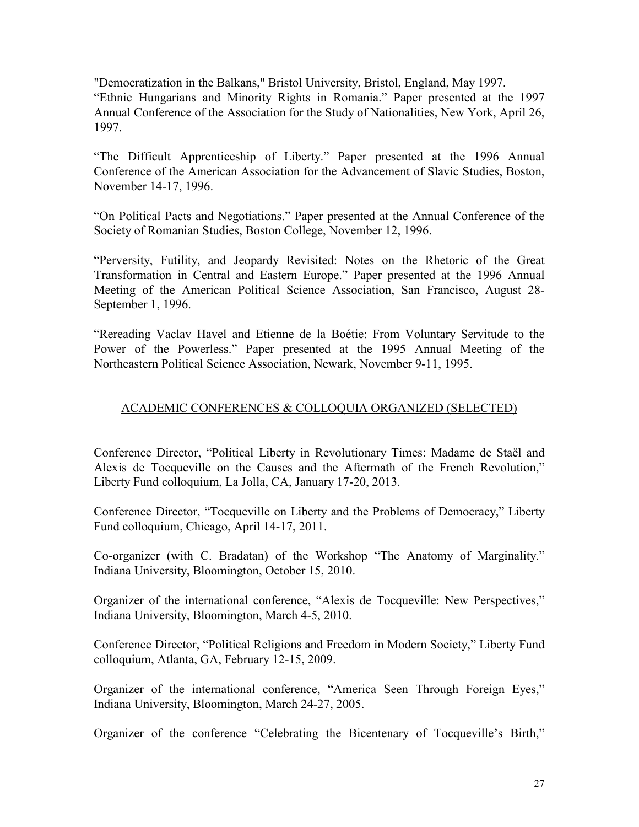"Democratization in the Balkans," Bristol University, Bristol, England, May 1997. "Ethnic Hungarians and Minority Rights in Romania." Paper presented at the 1997 Annual Conference of the Association for the Study of Nationalities, New York, April 26, 1997.

"The Difficult Apprenticeship of Liberty." Paper presented at the 1996 Annual Conference of the American Association for the Advancement of Slavic Studies, Boston, November 14-17, 1996.

"On Political Pacts and Negotiations." Paper presented at the Annual Conference of the Society of Romanian Studies, Boston College, November 12, 1996.

"Perversity, Futility, and Jeopardy Revisited: Notes on the Rhetoric of the Great Transformation in Central and Eastern Europe." Paper presented at the 1996 Annual Meeting of the American Political Science Association, San Francisco, August 28- September 1, 1996.

"Rereading Vaclav Havel and Etienne de la Boétie: From Voluntary Servitude to the Power of the Powerless." Paper presented at the 1995 Annual Meeting of the Northeastern Political Science Association, Newark, November 9-11, 1995.

## ACADEMIC CONFERENCES & COLLOQUIA ORGANIZED (SELECTED)

Conference Director, "Political Liberty in Revolutionary Times: Madame de Staël and Alexis de Tocqueville on the Causes and the Aftermath of the French Revolution," Liberty Fund colloquium, La Jolla, CA, January 17-20, 2013.

Conference Director, "Tocqueville on Liberty and the Problems of Democracy," Liberty Fund colloquium, Chicago, April 14-17, 2011.

Co-organizer (with C. Bradatan) of the Workshop "The Anatomy of Marginality." Indiana University, Bloomington, October 15, 2010.

Organizer of the international conference, "Alexis de Tocqueville: New Perspectives," Indiana University, Bloomington, March 4-5, 2010.

Conference Director, "Political Religions and Freedom in Modern Society," Liberty Fund colloquium, Atlanta, GA, February 12-15, 2009.

Organizer of the international conference, "America Seen Through Foreign Eyes," Indiana University, Bloomington, March 24-27, 2005.

Organizer of the conference "Celebrating the Bicentenary of Tocqueville's Birth,"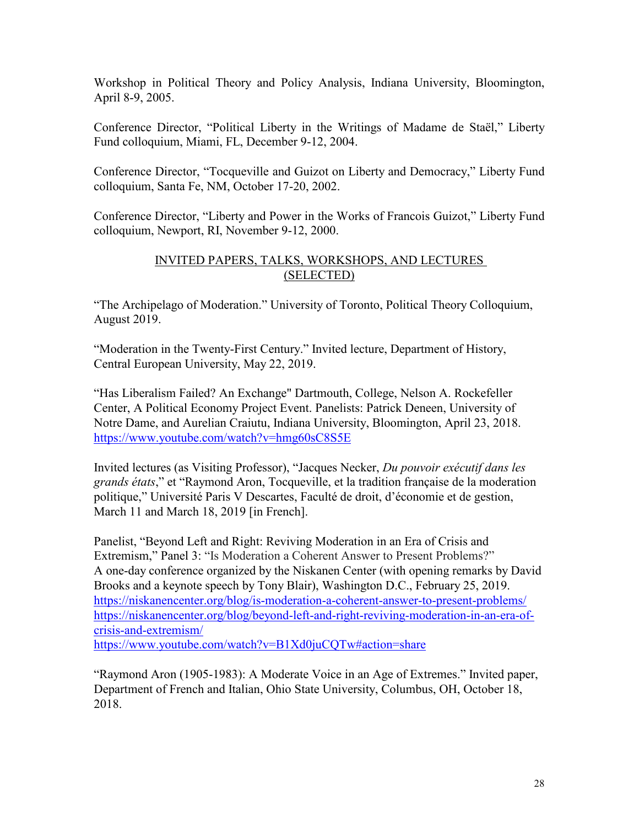Workshop in Political Theory and Policy Analysis, Indiana University, Bloomington, April 8-9, 2005.

Conference Director, "Political Liberty in the Writings of Madame de Staël," Liberty Fund colloquium, Miami, FL, December 9-12, 2004.

Conference Director, "Tocqueville and Guizot on Liberty and Democracy," Liberty Fund colloquium, Santa Fe, NM, October 17-20, 2002.

Conference Director, "Liberty and Power in the Works of Francois Guizot," Liberty Fund colloquium, Newport, RI, November 9-12, 2000.

### INVITED PAPERS, TALKS, WORKSHOPS, AND LECTURES (SELECTED)

"The Archipelago of Moderation." University of Toronto, Political Theory Colloquium, August 2019.

"Moderation in the Twenty-First Century." Invited lecture, Department of History, Central European University, May 22, 2019.

"Has Liberalism Failed? An Exchange" Dartmouth, College, Nelson A. Rockefeller Center, A Political Economy Project Event. Panelists: Patrick Deneen, University of Notre Dame, and Aurelian Craiutu, Indiana University, Bloomington, April 23, 2018. <https://www.youtube.com/watch?v=hmg60sC8S5E>

Invited lectures (as Visiting Professor), "Jacques Necker, *Du pouvoir exécutif dans les grands états*," et "Raymond Aron, Tocqueville, et la tradition française de la moderation politique," Université Paris V Descartes, Faculté de droit, d'économie et de gestion, March 11 and March 18, 2019 [in French].

Panelist, "Beyond Left and Right: Reviving Moderation in an Era of Crisis and Extremism," Panel 3: "Is Moderation a Coherent Answer to Present Problems?" A one-day conference organized by the Niskanen Center (with opening remarks by David Brooks and a keynote speech by Tony Blair), Washington D.C., February 25, 2019. <https://niskanencenter.org/blog/is-moderation-a-coherent-answer-to-present-problems/> [https://niskanencenter.org/blog/beyond-left-and-right-reviving-moderation-in-an-era-of](https://niskanencenter.org/blog/beyond-left-and-right-reviving-moderation-in-an-era-of-crisis-and-extremism/)[crisis-and-extremism/](https://niskanencenter.org/blog/beyond-left-and-right-reviving-moderation-in-an-era-of-crisis-and-extremism/) <https://www.youtube.com/watch?v=B1Xd0juCQTw#action=share>

"Raymond Aron (1905-1983): A Moderate Voice in an Age of Extremes." Invited paper, Department of French and Italian, Ohio State University, Columbus, OH, October 18, 2018.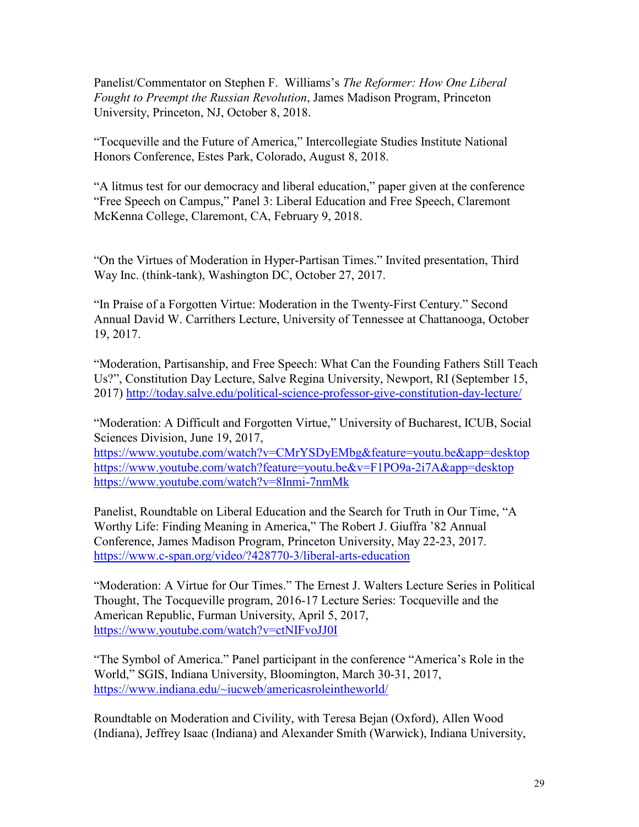Panelist/Commentator on Stephen F. Williams's *The Reformer: How One Liberal Fought to Preempt the Russian Revolution*, James Madison Program, Princeton University, Princeton, NJ, October 8, 2018.

"Tocqueville and the Future of America," Intercollegiate Studies Institute National Honors Conference, Estes Park, Colorado, August 8, 2018.

"A litmus test for our democracy and liberal education," paper given at the conference "Free Speech on Campus," Panel 3: Liberal Education and Free Speech, Claremont McKenna College, Claremont, CA, February 9, 2018.

"On the Virtues of Moderation in Hyper-Partisan Times." Invited presentation, Third Way Inc. (think-tank), Washington DC, October 27, 2017.

"In Praise of a Forgotten Virtue: Moderation in the Twenty-First Century." Second Annual David W. Carrithers Lecture, University of Tennessee at Chattanooga, October 19, 2017.

"Moderation, Partisanship, and Free Speech: What Can the Founding Fathers Still Teach Us?", Constitution Day Lecture, Salve Regina University, Newport, RI (September 15, 2017) <http://today.salve.edu/political-science-professor-give-constitution-day-lecture/>

"Moderation: A Difficult and Forgotten Virtue," University of Bucharest, ICUB, Social Sciences Division, June 19, 2017,

<https://www.youtube.com/watch?v=CMrYSDyEMbg&feature=youtu.be&app=desktop> <https://www.youtube.com/watch?feature=youtu.be&v=F1PO9a-2i7A&app=desktop> <https://www.youtube.com/watch?v=8Inmi-7nmMk>

Panelist, Roundtable on Liberal Education and the Search for Truth in Our Time, "A Worthy Life: Finding Meaning in America," The Robert J. Giuffra '82 Annual Conference, James Madison Program, Princeton University, May 22-23, 2017. <https://www.c-span.org/video/?428770-3/liberal-arts-education>

"Moderation: A Virtue for Our Times." The Ernest J. Walters Lecture Series in Political Thought, The Tocqueville program, 2016-17 Lecture Series: Tocqueville and the American Republic, Furman University, April 5, 2017, <https://www.youtube.com/watch?v=ctNIFvoJJ0I>

"The Symbol of America." Panel participant in the conference "America's Role in the World," SGIS, Indiana University, Bloomington, March 30-31, 2017, [https://www.indiana.edu/~iucweb/americasroleintheworld/](https://www.indiana.edu/%7Eiucweb/americasroleintheworld/)

Roundtable on Moderation and Civility, with Teresa Bejan (Oxford), Allen Wood (Indiana), Jeffrey Isaac (Indiana) and Alexander Smith (Warwick), Indiana University,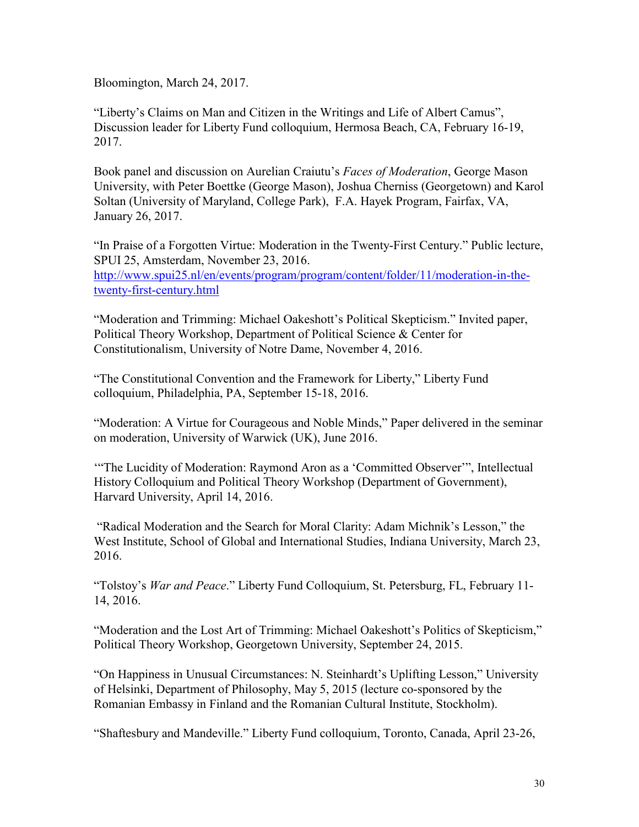Bloomington, March 24, 2017.

"Liberty's Claims on Man and Citizen in the Writings and Life of Albert Camus", Discussion leader for Liberty Fund colloquium, Hermosa Beach, CA, February 16-19, 2017.

Book panel and discussion on Aurelian Craiutu's *Faces of Moderation*, George Mason University, with Peter Boettke (George Mason), Joshua Cherniss (Georgetown) and Karol Soltan (University of Maryland, College Park), F.A. Hayek Program, Fairfax, VA, January 26, 2017.

"In Praise of a Forgotten Virtue: Moderation in the Twenty-First Century." Public lecture, SPUI 25, Amsterdam, November 23, 2016. [http://www.spui25.nl/en/events/program/program/content/folder/11/moderation-in-the](http://www.spui25.nl/en/events/program/program/content/folder/11/moderation-in-the-twenty-first-century.html)[twenty-first-century.html](http://www.spui25.nl/en/events/program/program/content/folder/11/moderation-in-the-twenty-first-century.html)

"Moderation and Trimming: Michael Oakeshott's Political Skepticism." Invited paper, Political Theory Workshop, Department of Political Science & Center for Constitutionalism, University of Notre Dame, November 4, 2016.

"The Constitutional Convention and the Framework for Liberty," Liberty Fund colloquium, Philadelphia, PA, September 15-18, 2016.

"Moderation: A Virtue for Courageous and Noble Minds," Paper delivered in the seminar on moderation, University of Warwick (UK), June 2016.

'"The Lucidity of Moderation: Raymond Aron as a 'Committed Observer'", Intellectual History Colloquium and Political Theory Workshop (Department of Government), Harvard University, April 14, 2016.

"Radical Moderation and the Search for Moral Clarity: Adam Michnik's Lesson," the West Institute, School of Global and International Studies, Indiana University, March 23, 2016.

"Tolstoy's *War and Peace*." Liberty Fund Colloquium, St. Petersburg, FL, February 11- 14, 2016.

"Moderation and the Lost Art of Trimming: Michael Oakeshott's Politics of Skepticism," Political Theory Workshop, Georgetown University, September 24, 2015.

"On Happiness in Unusual Circumstances: N. Steinhardt's Uplifting Lesson," University of Helsinki, Department of Philosophy, May 5, 2015 (lecture co-sponsored by the Romanian Embassy in Finland and the Romanian Cultural Institute, Stockholm).

"Shaftesbury and Mandeville." Liberty Fund colloquium, Toronto, Canada, April 23-26,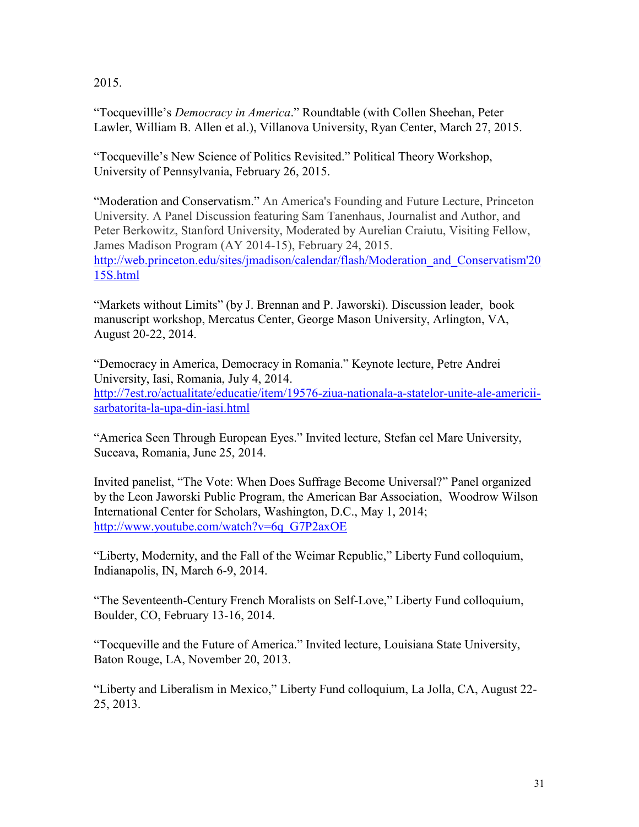2015.

"Tocquevillle's *Democracy in America*." Roundtable (with Collen Sheehan, Peter Lawler, William B. Allen et al.), Villanova University, Ryan Center, March 27, 2015.

"Tocqueville's New Science of Politics Revisited." Political Theory Workshop, University of Pennsylvania, February 26, 2015.

"Moderation and Conservatism." An America's Founding and Future Lecture, Princeton University. A Panel Discussion featuring Sam Tanenhaus, Journalist and Author, and Peter Berkowitz, Stanford University, Moderated by Aurelian Craiutu, Visiting Fellow, James Madison Program (AY 2014-15), February 24, 2015. [http://web.princeton.edu/sites/jmadison/calendar/flash/Moderation\\_and\\_Conservatism'20](http://web.princeton.edu/sites/jmadison/calendar/flash/Moderation_and_Conservatism) [15S.html](http://web.princeton.edu/sites/jmadison/calendar/flash/Moderation_and_Conservatism)

"Markets without Limits" (by J. Brennan and P. Jaworski). Discussion leader, book manuscript workshop, Mercatus Center, George Mason University, Arlington, VA, August 20-22, 2014.

"Democracy in America, Democracy in Romania." Keynote lecture, Petre Andrei University, Iasi, Romania, July 4, 2014. [http://7est.ro/actualitate/educatie/item/19576-ziua-nationala-a-statelor-unite-ale-americii](http://7est.ro/actualitate/educatie/item/19576-ziua-nationala-a-statelor-unite-ale-americii-sarbatorita-la-upa-din-iasi.html)[sarbatorita-la-upa-din-iasi.html](http://7est.ro/actualitate/educatie/item/19576-ziua-nationala-a-statelor-unite-ale-americii-sarbatorita-la-upa-din-iasi.html)

"America Seen Through European Eyes." Invited lecture, Stefan cel Mare University, Suceava, Romania, June 25, 2014.

Invited panelist, "The Vote: When Does Suffrage Become Universal?" Panel organized by the Leon Jaworski Public Program, the American Bar Association, Woodrow Wilson International Center for Scholars, Washington, D.C., May 1, 2014; [http://www.youtube.com/watch?v=6q\\_G7P2axOE](http://www.youtube.com/watch?v=6q_G7P2axOE)

"Liberty, Modernity, and the Fall of the Weimar Republic," Liberty Fund colloquium, Indianapolis, IN, March 6-9, 2014.

"The Seventeenth-Century French Moralists on Self-Love," Liberty Fund colloquium, Boulder, CO, February 13-16, 2014.

"Tocqueville and the Future of America." Invited lecture, Louisiana State University, Baton Rouge, LA, November 20, 2013.

"Liberty and Liberalism in Mexico," Liberty Fund colloquium, La Jolla, CA, August 22- 25, 2013.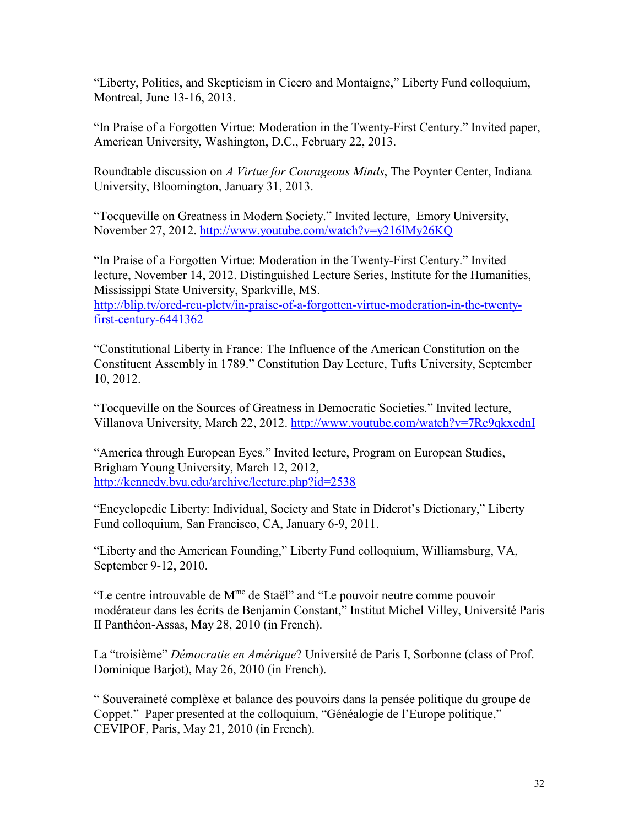"Liberty, Politics, and Skepticism in Cicero and Montaigne," Liberty Fund colloquium, Montreal, June 13-16, 2013.

"In Praise of a Forgotten Virtue: Moderation in the Twenty-First Century." Invited paper, American University, Washington, D.C., February 22, 2013.

Roundtable discussion on *A Virtue for Courageous Minds*, The Poynter Center, Indiana University, Bloomington, January 31, 2013.

"Tocqueville on Greatness in Modern Society." Invited lecture, Emory University, November 27, 2012. <http://www.youtube.com/watch?v=y216lMy26KQ>

"In Praise of a Forgotten Virtue: Moderation in the Twenty-First Century." Invited lecture, November 14, 2012. Distinguished Lecture Series, Institute for the Humanities, Mississippi State University, Sparkville, MS.

[http://blip.tv/ored-rcu-plctv/in-praise-of-a-forgotten-virtue-moderation-in-the-twenty](http://blip.tv/ored-rcu-plctv/in-praise-of-a-forgotten-virtue-moderation-in-the-twenty-first-century-6441362)[first-century-6441362](http://blip.tv/ored-rcu-plctv/in-praise-of-a-forgotten-virtue-moderation-in-the-twenty-first-century-6441362)

"Constitutional Liberty in France: The Influence of the American Constitution on the Constituent Assembly in 1789." Constitution Day Lecture, Tufts University, September 10, 2012.

"Tocqueville on the Sources of Greatness in Democratic Societies." Invited lecture, Villanova University, March 22, 2012. <http://www.youtube.com/watch?v=7Rc9qkxednI>

"America through European Eyes." Invited lecture, Program on European Studies, Brigham Young University, March 12, 2012, <http://kennedy.byu.edu/archive/lecture.php?id=2538>

"Encyclopedic Liberty: Individual, Society and State in Diderot's Dictionary," Liberty Fund colloquium, San Francisco, CA, January 6-9, 2011.

"Liberty and the American Founding," Liberty Fund colloquium, Williamsburg, VA, September 9-12, 2010.

"Le centre introuvable de M<sup>me</sup> de Staël" and "Le pouvoir neutre comme pouvoir modérateur dans les écrits de Benjamin Constant," Institut Michel Villey, Université Paris II Panthéon-Assas, May 28, 2010 (in French).

La "troisième" *Démocratie en Amérique*? Université de Paris I, Sorbonne (class of Prof. Dominique Barjot), May 26, 2010 (in French).

" Souveraineté complèxe et balance des pouvoirs dans la pensée politique du groupe de Coppet." Paper presented at the colloquium, "Généalogie de l'Europe politique," CEVIPOF, Paris, May 21, 2010 (in French).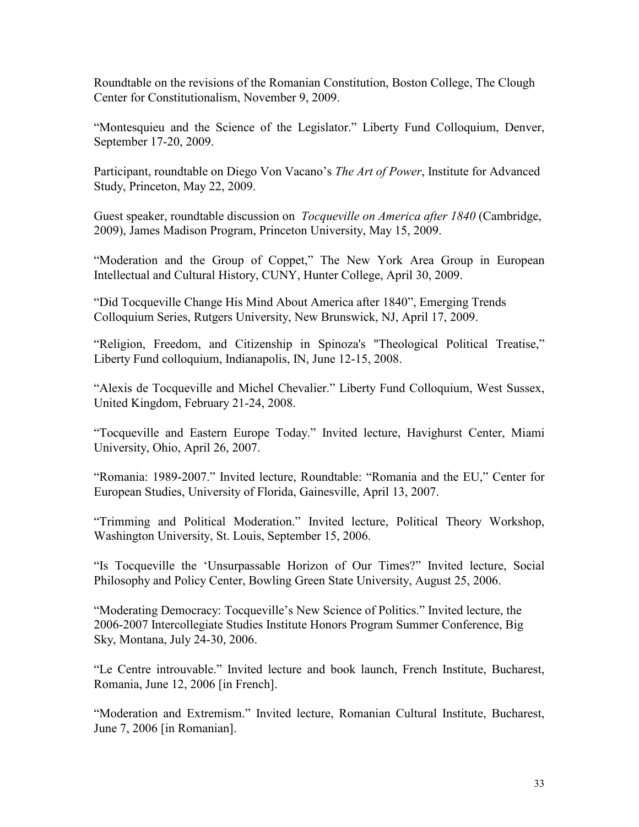Roundtable on the revisions of the Romanian Constitution, Boston College, The Clough Center for Constitutionalism, November 9, 2009.

"Montesquieu and the Science of the Legislator." Liberty Fund Colloquium, Denver, September 17-20, 2009.

Participant, roundtable on Diego Von Vacano's *The Art of Power*, Institute for Advanced Study, Princeton, May 22, 2009.

Guest speaker, roundtable discussion on *Tocqueville on America after 1840* (Cambridge, 2009), James Madison Program, Princeton University, May 15, 2009.

"Moderation and the Group of Coppet," The New York Area Group in European Intellectual and Cultural History, CUNY, Hunter College, April 30, 2009.

"Did Tocqueville Change His Mind About America after 1840", Emerging Trends Colloquium Series, Rutgers University, New Brunswick, NJ, April 17, 2009.

"Religion, Freedom, and Citizenship in Spinoza's "Theological Political Treatise," Liberty Fund colloquium, Indianapolis, IN, June 12-15, 2008.

"Alexis de Tocqueville and Michel Chevalier." Liberty Fund Colloquium, West Sussex, United Kingdom, February 21-24, 2008.

"Tocqueville and Eastern Europe Today." Invited lecture, Havighurst Center, Miami University, Ohio, April 26, 2007.

"Romania: 1989-2007." Invited lecture, Roundtable: "Romania and the EU," Center for European Studies, University of Florida, Gainesville, April 13, 2007.

"Trimming and Political Moderation." Invited lecture, Political Theory Workshop, Washington University, St. Louis, September 15, 2006.

"Is Tocqueville the 'Unsurpassable Horizon of Our Times?" Invited lecture, Social Philosophy and Policy Center, Bowling Green State University, August 25, 2006.

"Moderating Democracy: Tocqueville's New Science of Politics." Invited lecture, the 2006-2007 Intercollegiate Studies Institute Honors Program Summer Conference, Big Sky, Montana, July 24-30, 2006.

"Le Centre introuvable." Invited lecture and book launch, French Institute, Bucharest, Romania, June 12, 2006 [in French].

"Moderation and Extremism." Invited lecture, Romanian Cultural Institute, Bucharest, June 7, 2006 [in Romanian].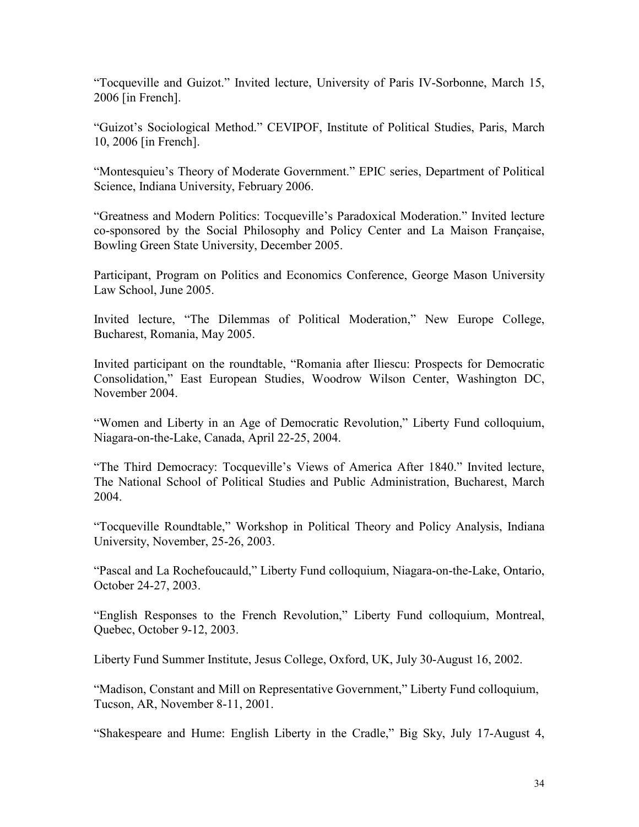"Tocqueville and Guizot." Invited lecture, University of Paris IV-Sorbonne, March 15, 2006 [in French].

"Guizot's Sociological Method." CEVIPOF, Institute of Political Studies, Paris, March 10, 2006 [in French].

"Montesquieu's Theory of Moderate Government." EPIC series, Department of Political Science, Indiana University, February 2006.

"Greatness and Modern Politics: Tocqueville's Paradoxical Moderation." Invited lecture co-sponsored by the Social Philosophy and Policy Center and La Maison Française, Bowling Green State University, December 2005.

Participant, Program on Politics and Economics Conference, George Mason University Law School, June 2005.

Invited lecture, "The Dilemmas of Political Moderation," New Europe College, Bucharest, Romania, May 2005.

Invited participant on the roundtable, "Romania after Iliescu: Prospects for Democratic Consolidation," East European Studies, Woodrow Wilson Center, Washington DC, November 2004.

"Women and Liberty in an Age of Democratic Revolution," Liberty Fund colloquium, Niagara-on-the-Lake, Canada, April 22-25, 2004.

"The Third Democracy: Tocqueville's Views of America After 1840." Invited lecture, The National School of Political Studies and Public Administration, Bucharest, March 2004.

"Tocqueville Roundtable," Workshop in Political Theory and Policy Analysis, Indiana University, November, 25-26, 2003.

"Pascal and La Rochefoucauld," Liberty Fund colloquium, Niagara-on-the-Lake, Ontario, October 24-27, 2003.

"English Responses to the French Revolution," Liberty Fund colloquium, Montreal, Quebec, October 9-12, 2003.

Liberty Fund Summer Institute, Jesus College, Oxford, UK, July 30-August 16, 2002.

"Madison, Constant and Mill on Representative Government," Liberty Fund colloquium, Tucson, AR, November 8-11, 2001.

"Shakespeare and Hume: English Liberty in the Cradle," Big Sky, July 17-August 4,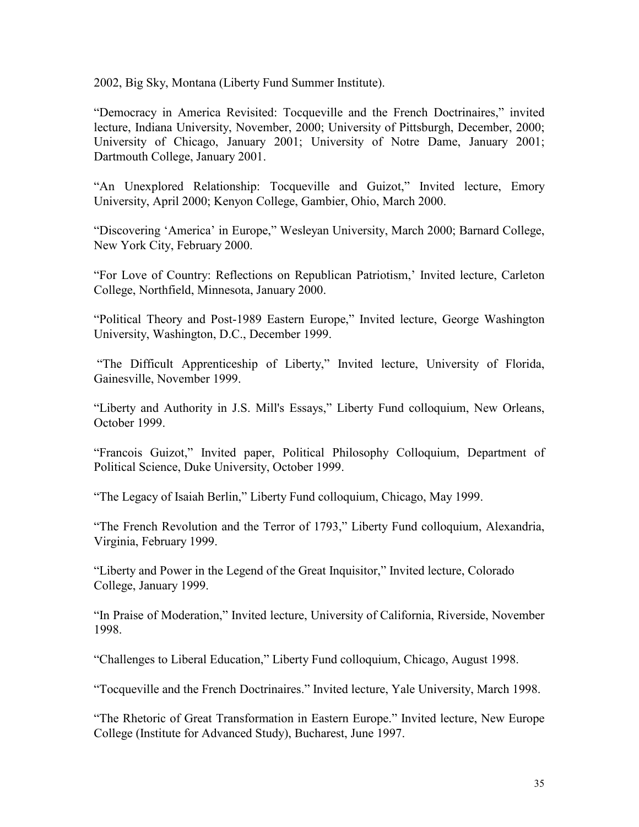2002, Big Sky, Montana (Liberty Fund Summer Institute).

"Democracy in America Revisited: Tocqueville and the French Doctrinaires," invited lecture, Indiana University, November, 2000; University of Pittsburgh, December, 2000; University of Chicago, January 2001; University of Notre Dame, January 2001; Dartmouth College, January 2001.

"An Unexplored Relationship: Tocqueville and Guizot," Invited lecture, Emory University, April 2000; Kenyon College, Gambier, Ohio, March 2000.

"Discovering 'America' in Europe," Wesleyan University, March 2000; Barnard College, New York City, February 2000.

"For Love of Country: Reflections on Republican Patriotism,' Invited lecture, Carleton College, Northfield, Minnesota, January 2000.

"Political Theory and Post-1989 Eastern Europe," Invited lecture, George Washington University, Washington, D.C., December 1999.

"The Difficult Apprenticeship of Liberty," Invited lecture, University of Florida, Gainesville, November 1999.

"Liberty and Authority in J.S. Mill's Essays," Liberty Fund colloquium, New Orleans, October 1999.

"Francois Guizot," Invited paper, Political Philosophy Colloquium, Department of Political Science, Duke University, October 1999.

"The Legacy of Isaiah Berlin," Liberty Fund colloquium, Chicago, May 1999.

"The French Revolution and the Terror of 1793," Liberty Fund colloquium, Alexandria, Virginia, February 1999.

"Liberty and Power in the Legend of the Great Inquisitor," Invited lecture, Colorado College, January 1999.

"In Praise of Moderation," Invited lecture, University of California, Riverside, November 1998.

"Challenges to Liberal Education," Liberty Fund colloquium, Chicago, August 1998.

"Tocqueville and the French Doctrinaires." Invited lecture, Yale University, March 1998.

"The Rhetoric of Great Transformation in Eastern Europe." Invited lecture, New Europe College (Institute for Advanced Study), Bucharest, June 1997.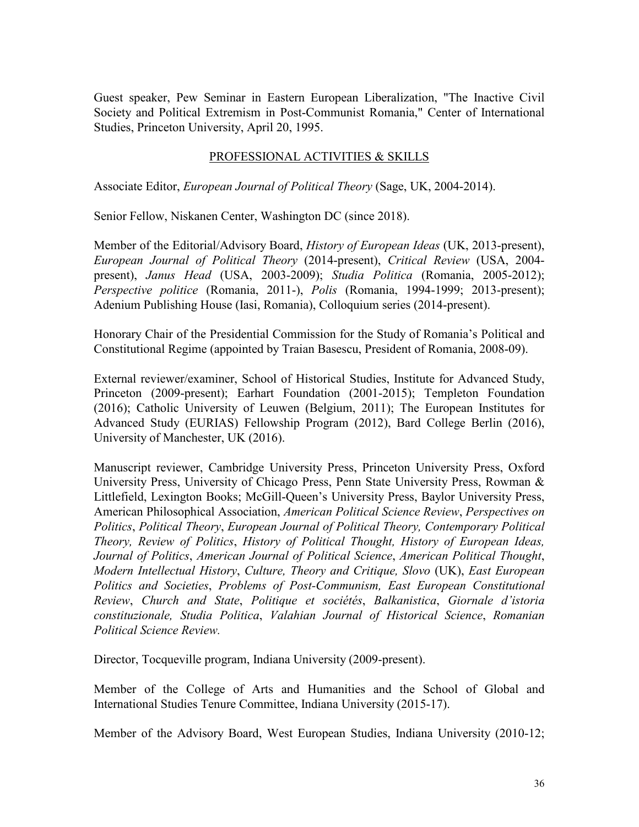Guest speaker, Pew Seminar in Eastern European Liberalization, "The Inactive Civil Society and Political Extremism in Post-Communist Romania," Center of International Studies, Princeton University, April 20, 1995.

### PROFESSIONAL ACTIVITIES & SKILLS

Associate Editor, *European Journal of Political Theory* (Sage, UK, 2004-2014).

Senior Fellow, Niskanen Center, Washington DC (since 2018).

Member of the Editorial/Advisory Board, *History of European Ideas* (UK, 2013-present), *European Journal of Political Theory* (2014-present), *Critical Review* (USA, 2004 present), *Janus Head* (USA, 2003-2009); *Studia Politica* (Romania, 2005-2012); *Perspective politice* (Romania, 2011-), *Polis* (Romania, 1994-1999; 2013-present); Adenium Publishing House (Iasi, Romania), Colloquium series (2014-present).

Honorary Chair of the Presidential Commission for the Study of Romania's Political and Constitutional Regime (appointed by Traian Basescu, President of Romania, 2008-09).

External reviewer/examiner, School of Historical Studies, Institute for Advanced Study, Princeton (2009-present); Earhart Foundation (2001-2015); Templeton Foundation (2016); Catholic University of Leuwen (Belgium, 2011); The European Institutes for Advanced Study (EURIAS) Fellowship Program (2012), Bard College Berlin (2016), University of Manchester, UK (2016).

Manuscript reviewer, Cambridge University Press, Princeton University Press, Oxford University Press, University of Chicago Press, Penn State University Press, Rowman & Littlefield, Lexington Books; McGill-Queen's University Press, Baylor University Press, American Philosophical Association, *American Political Science Review*, *Perspectives on Politics*, *Political Theory*, *European Journal of Political Theory, Contemporary Political Theory, Review of Politics*, *History of Political Thought, History of European Ideas, Journal of Politics*, *American Journal of Political Science*, *American Political Thought*, *Modern Intellectual History*, *Culture, Theory and Critique, Slovo* (UK), *East European Politics and Societies*, *Problems of Post-Communism, East European Constitutional Review*, *Church and State*, *Politique et sociétés*, *Balkanistica*, *Giornale d'istoria constituzionale, Studia Politica*, *Valahian Journal of Historical Science*, *Romanian Political Science Review.*

Director, Tocqueville program, Indiana University (2009-present).

Member of the College of Arts and Humanities and the School of Global and International Studies Tenure Committee, Indiana University (2015-17).

Member of the Advisory Board, West European Studies, Indiana University (2010-12;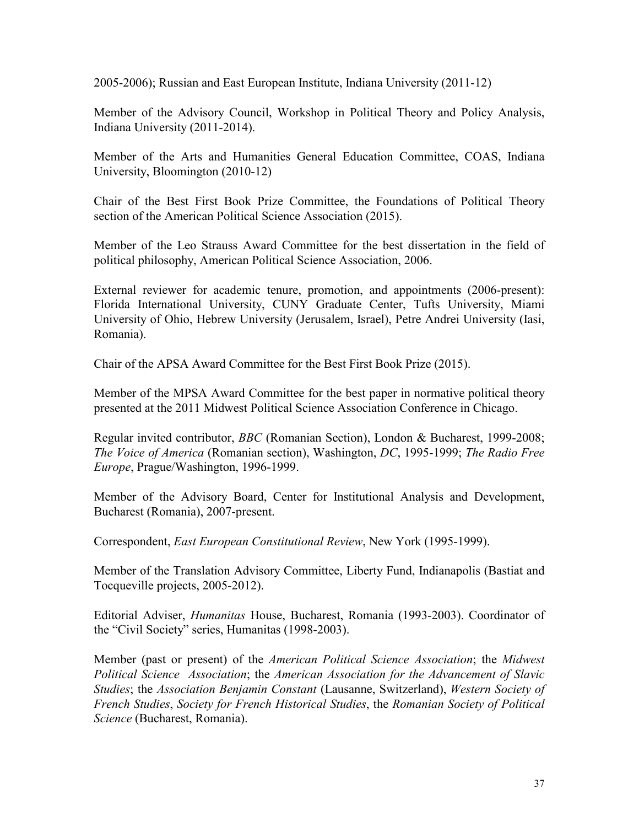2005-2006); Russian and East European Institute, Indiana University (2011-12)

Member of the Advisory Council, Workshop in Political Theory and Policy Analysis, Indiana University (2011-2014).

Member of the Arts and Humanities General Education Committee, COAS, Indiana University, Bloomington (2010-12)

Chair of the Best First Book Prize Committee, the Foundations of Political Theory section of the American Political Science Association (2015).

Member of the Leo Strauss Award Committee for the best dissertation in the field of political philosophy, American Political Science Association, 2006.

External reviewer for academic tenure, promotion, and appointments (2006-present): Florida International University, CUNY Graduate Center, Tufts University, Miami University of Ohio, Hebrew University (Jerusalem, Israel), Petre Andrei University (Iasi, Romania).

Chair of the APSA Award Committee for the Best First Book Prize (2015).

Member of the MPSA Award Committee for the best paper in normative political theory presented at the 2011 Midwest Political Science Association Conference in Chicago.

Regular invited contributor, *BBC* (Romanian Section), London & Bucharest, 1999-2008; *The Voice of America* (Romanian section), Washington, *DC*, 1995-1999; *The Radio Free Europe*, Prague/Washington, 1996-1999.

Member of the Advisory Board, Center for Institutional Analysis and Development, Bucharest (Romania), 2007-present.

Correspondent, *East European Constitutional Review*, New York (1995-1999).

Member of the Translation Advisory Committee, Liberty Fund, Indianapolis (Bastiat and Tocqueville projects, 2005-2012).

Editorial Adviser, *Humanitas* House, Bucharest, Romania (1993-2003). Coordinator of the "Civil Society" series, Humanitas (1998-2003).

Member (past or present) of the *American Political Science Association*; the *Midwest Political Science Association*; the *American Association for the Advancement of Slavic Studies*; the *Association Benjamin Constant* (Lausanne, Switzerland), *Western Society of French Studies*, *Society for French Historical Studies*, the *Romanian Society of Political Science* (Bucharest, Romania).